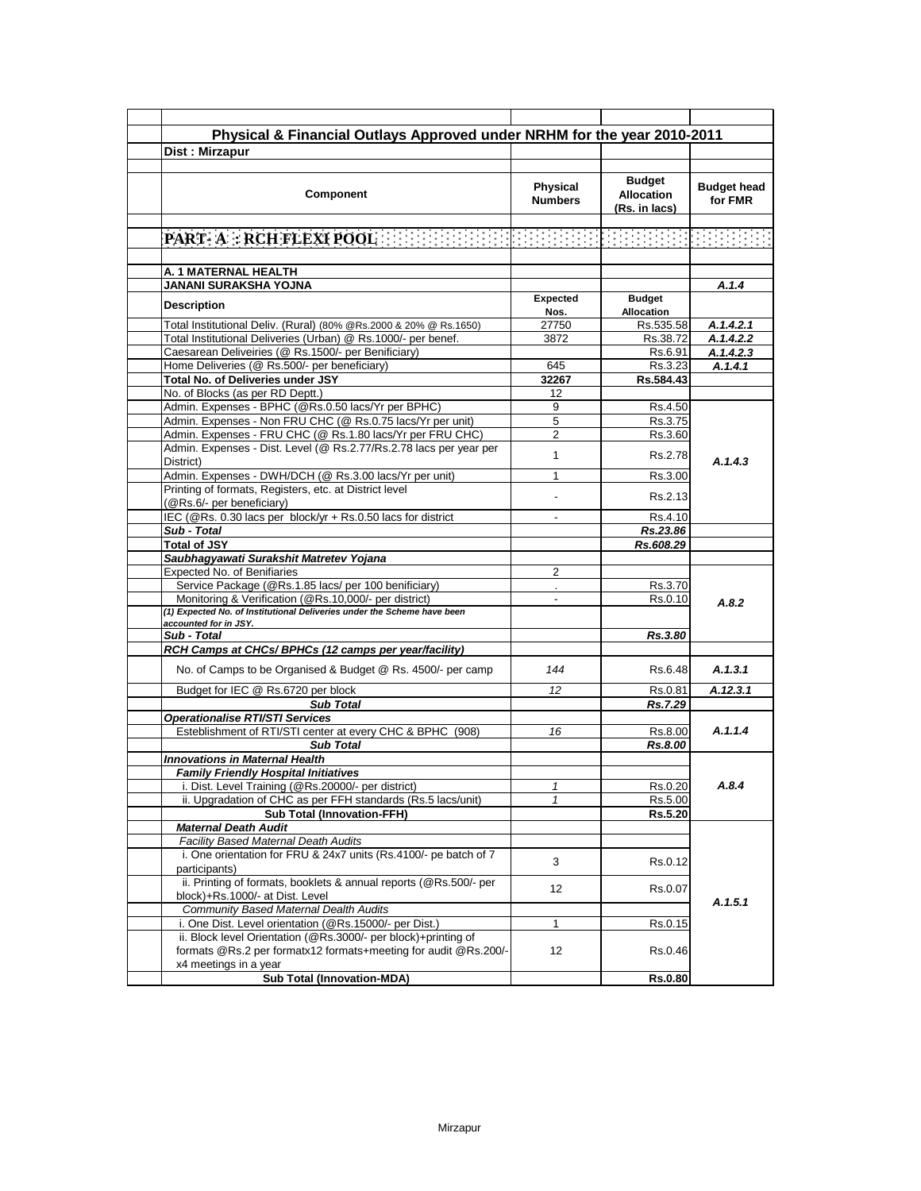| Physical & Financial Outlays Approved under NRHM for the year 2010-2011 |                          |                    |                    |
|-------------------------------------------------------------------------|--------------------------|--------------------|--------------------|
| Dist: Mirzapur                                                          |                          |                    |                    |
|                                                                         |                          |                    |                    |
|                                                                         |                          | <b>Budget</b>      |                    |
| <b>Component</b>                                                        | Physical                 | <b>Allocation</b>  | <b>Budget head</b> |
|                                                                         | <b>Numbers</b>           |                    | for FMR            |
|                                                                         |                          | (Rs. in lacs)      |                    |
|                                                                         |                          |                    |                    |
| PART- A : RCH FLEXI POOL                                                |                          |                    |                    |
|                                                                         |                          |                    |                    |
| A. 1 MATERNAL HEALTH                                                    |                          |                    |                    |
| <b>JANANI SURAKSHA YOJNA</b>                                            |                          |                    | A. 1.4             |
| Description                                                             | Expected                 | <b>Budget</b>      |                    |
|                                                                         | Nos.<br>27750            | <b>Allocation</b>  |                    |
| Total Institutional Deliv. (Rural) (80% @Rs.2000 & 20% @ Rs.1650)       |                          | Rs.535.58          | A.1.4.2.1          |
| Total Institutional Deliveries (Urban) @ Rs.1000/- per benef.           | 3872                     | Rs.38.72           | A.1.4.2.2          |
| Caesarean Deliveiries (@ Rs.1500/- per Benificiary)                     |                          | Rs.6.91            | A.1.4.2.3          |
| Home Deliveries (@ Rs.500/- per beneficiary)                            | 645                      | Rs.3.23            | A.1.4.1            |
| Total No. of Deliveries under JSY<br>No. of Blocks (as per RD Deptt.)   | 32267                    | Rs.584.43          |                    |
| Admin. Expenses - BPHC (@Rs.0.50 lacs/Yr per BPHC)                      | 12<br>9                  |                    |                    |
| Admin. Expenses - Non FRU CHC (@ Rs.0.75 lacs/Yr per unit)              | 5                        | Rs.4.50<br>Rs.3.75 |                    |
| Admin. Expenses - FRU CHC (@ Rs.1.80 lacs/Yr per FRU CHC)               | 2                        | Rs.3.60            |                    |
| Admin. Expenses - Dist. Level (@ Rs.2.77/Rs.2.78 lacs per year per      |                          |                    |                    |
| District)                                                               | 1                        | Rs.2.78            | A.1.4.3            |
| Admin. Expenses - DWH/DCH (@ Rs.3.00 lacs/Yr per unit)                  | 1                        | Rs.3.00            |                    |
| Printing of formats, Registers, etc. at District level                  |                          |                    |                    |
| (@Rs.6/- per beneficiary)                                               |                          | Rs.2.13            |                    |
| IEC (@Rs. 0.30 lacs per block/yr + Rs.0.50 lacs for district            | $\overline{\phantom{a}}$ | Rs.4.10            |                    |
| Sub - Total                                                             |                          | Rs.23.86           |                    |
| <b>Total of JSY</b>                                                     |                          | Rs.608.29          |                    |
| Saubhagyawati Surakshit Matretev Yojana                                 |                          |                    |                    |
| Expected No. of Benifiaries                                             | 2                        |                    |                    |
| Service Package (@Rs.1.85 lacs/ per 100 benificiary)                    |                          | Rs.3.70            |                    |
| Monitoring & Verification (@Rs.10,000/- per district)                   | $\overline{a}$           | Rs.0.10            | A.8.2              |
| (1) Expected No. of Institutional Deliveries under the Scheme have been |                          |                    |                    |
| accounted for in JSY.                                                   |                          |                    |                    |
| Sub - Total<br>RCH Camps at CHCs/ BPHCs (12 camps per year/facility)    |                          | Rs.3.80            |                    |
|                                                                         |                          |                    |                    |
| No. of Camps to be Organised & Budget @ Rs. 4500/- per camp             | 144                      | Rs.6.48            | A.1.3.1            |
| Budget for IEC @ Rs.6720 per block                                      | 12                       | Rs.0.81            | A.12.3.1           |
| <b>Sub Total</b>                                                        |                          | Rs.7.29            |                    |
| <b>Operationalise RTI/STI Services</b>                                  |                          |                    |                    |
| Esteblishment of RTI/STI center at every CHC & BPHC (908)               | 16                       | Rs.8.00            | A.1.1.4            |
| <b>Sub Total</b>                                                        |                          | Rs.8.00            |                    |
| Innovations in Maternal Health                                          |                          |                    |                    |
| <b>Family Friendly Hospital Initiatives</b>                             |                          |                    |                    |
| i. Dist. Level Training (@Rs.20000/- per district)                      |                          | Rs.0.20            | A.8.4              |
| ii. Upgradation of CHC as per FFH standards (Rs.5 lacs/unit)            |                          | Rs.5.00            |                    |
| <b>Sub Total (Innovation-FFH)</b>                                       |                          | Rs.5.20            |                    |
| <b>Maternal Death Audit</b>                                             |                          |                    |                    |
| Facility Based Maternal Death Audits                                    |                          |                    |                    |
| i. One orientation for FRU & 24x7 units (Rs.4100/- pe batch of 7        | 3                        | Rs.0.12            |                    |
| participants)                                                           |                          |                    |                    |
| ii. Printing of formats, booklets & annual reports (@Rs.500/- per       | 12                       | Rs.0.07            |                    |
| block)+Rs.1000/- at Dist. Level                                         |                          |                    | A.1.5.1            |
| Community Based Maternal Dealth Audits                                  |                          |                    |                    |
| i. One Dist. Level orientation (@Rs.15000/- per Dist.)                  | 1                        | Rs.0.15            |                    |
| ii. Block level Orientation (@Rs.3000/- per block)+printing of          |                          |                    |                    |
| formats @Rs.2 per formatx12 formats+meeting for audit @Rs.200/-         | 12                       | Rs.0.46            |                    |
| x4 meetings in a year                                                   |                          |                    |                    |
| <b>Sub Total (Innovation-MDA)</b>                                       |                          | <b>Rs.0.80</b>     |                    |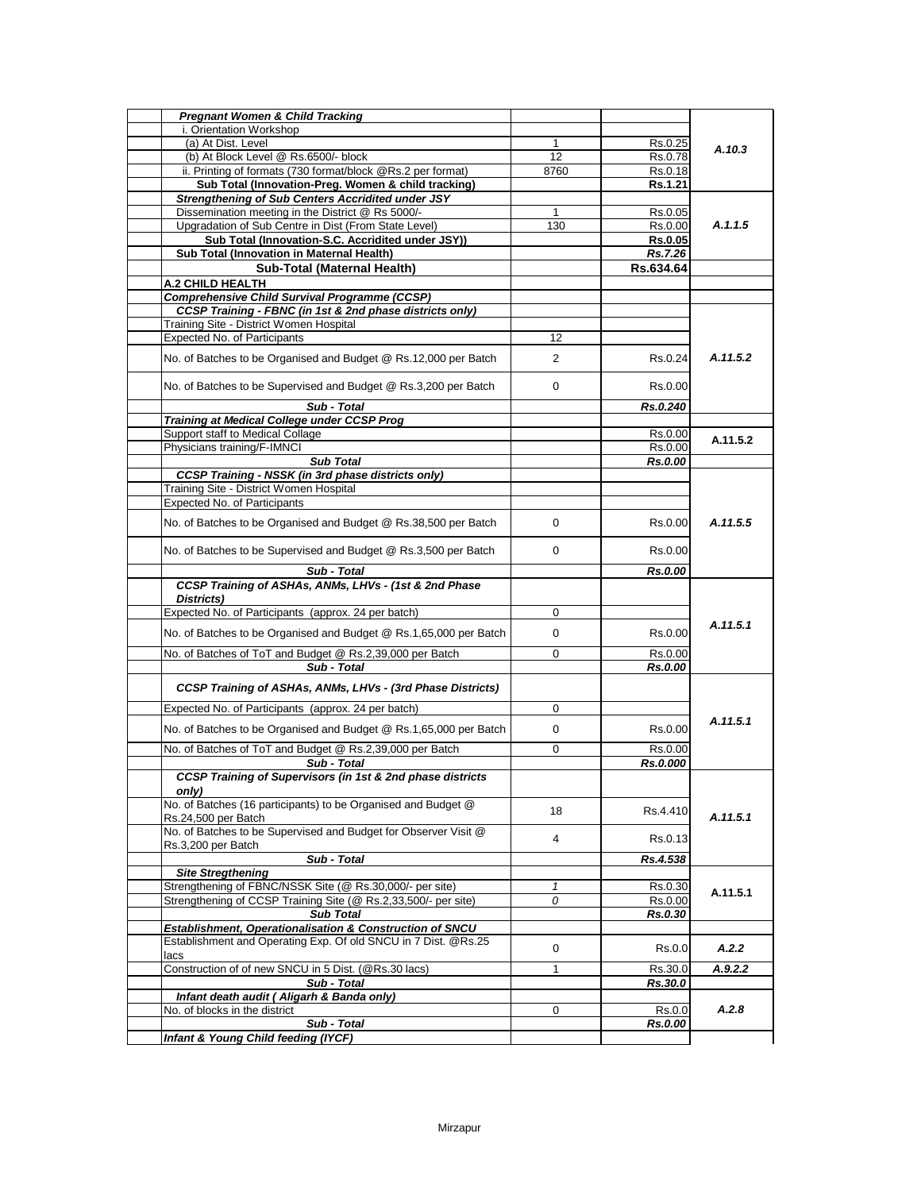| i. Orientation Workshop<br>(a) At Dist. Level<br>$\mathbf{1}$<br>(b) At Block Level @ Rs.6500/- block<br>12<br>ii. Printing of formats (730 format/block @Rs.2 per format)<br>8760<br>Sub Total (Innovation-Preg. Women & child tracking)<br><b>Strengthening of Sub Centers Accridited under JSY</b><br>Dissemination meeting in the District @ Rs 5000/-<br>1<br>Upgradation of Sub Centre in Dist (From State Level)<br>130<br>Sub Total (Innovation-S.C. Accridited under JSY))<br>Sub Total (Innovation in Maternal Health)<br>Sub-Total (Maternal Health)<br>A.2 CHILD HEALTH<br><b>Comprehensive Child Survival Programme (CCSP)</b><br>CCSP Training - FBNC (in 1st & 2nd phase districts only)<br>Training Site - District Women Hospital<br>Expected No. of Participants<br>12<br>No. of Batches to be Organised and Budget @ Rs.12,000 per Batch<br>$\overline{2}$<br>No. of Batches to be Supervised and Budget @ Rs.3,200 per Batch<br>0<br>Sub - Total<br><b>Training at Medical College under CCSP Prog</b><br>Support staff to Medical Collage<br>Physicians training/F-IMNCI<br><b>Sub Total</b><br><b>CCSP Training - NSSK (in 3rd phase districts only)</b> | Rs.0.25<br>Rs.0.78<br>Rs.0.18<br>Rs.1.21<br>Rs.0.05<br>Rs.0.00<br><b>Rs.0.05</b><br>Rs.7.26<br>Rs.634.64<br>Rs.0.24<br>Rs.0.00<br>Rs.0.240 | A.10.3<br>A.1.1.5<br>A.11.5.2 |
|--------------------------------------------------------------------------------------------------------------------------------------------------------------------------------------------------------------------------------------------------------------------------------------------------------------------------------------------------------------------------------------------------------------------------------------------------------------------------------------------------------------------------------------------------------------------------------------------------------------------------------------------------------------------------------------------------------------------------------------------------------------------------------------------------------------------------------------------------------------------------------------------------------------------------------------------------------------------------------------------------------------------------------------------------------------------------------------------------------------------------------------------------------------------------------|--------------------------------------------------------------------------------------------------------------------------------------------|-------------------------------|
|                                                                                                                                                                                                                                                                                                                                                                                                                                                                                                                                                                                                                                                                                                                                                                                                                                                                                                                                                                                                                                                                                                                                                                                |                                                                                                                                            |                               |
|                                                                                                                                                                                                                                                                                                                                                                                                                                                                                                                                                                                                                                                                                                                                                                                                                                                                                                                                                                                                                                                                                                                                                                                |                                                                                                                                            |                               |
|                                                                                                                                                                                                                                                                                                                                                                                                                                                                                                                                                                                                                                                                                                                                                                                                                                                                                                                                                                                                                                                                                                                                                                                |                                                                                                                                            |                               |
|                                                                                                                                                                                                                                                                                                                                                                                                                                                                                                                                                                                                                                                                                                                                                                                                                                                                                                                                                                                                                                                                                                                                                                                |                                                                                                                                            |                               |
|                                                                                                                                                                                                                                                                                                                                                                                                                                                                                                                                                                                                                                                                                                                                                                                                                                                                                                                                                                                                                                                                                                                                                                                |                                                                                                                                            |                               |
|                                                                                                                                                                                                                                                                                                                                                                                                                                                                                                                                                                                                                                                                                                                                                                                                                                                                                                                                                                                                                                                                                                                                                                                |                                                                                                                                            |                               |
|                                                                                                                                                                                                                                                                                                                                                                                                                                                                                                                                                                                                                                                                                                                                                                                                                                                                                                                                                                                                                                                                                                                                                                                |                                                                                                                                            |                               |
|                                                                                                                                                                                                                                                                                                                                                                                                                                                                                                                                                                                                                                                                                                                                                                                                                                                                                                                                                                                                                                                                                                                                                                                |                                                                                                                                            |                               |
|                                                                                                                                                                                                                                                                                                                                                                                                                                                                                                                                                                                                                                                                                                                                                                                                                                                                                                                                                                                                                                                                                                                                                                                |                                                                                                                                            |                               |
|                                                                                                                                                                                                                                                                                                                                                                                                                                                                                                                                                                                                                                                                                                                                                                                                                                                                                                                                                                                                                                                                                                                                                                                |                                                                                                                                            |                               |
|                                                                                                                                                                                                                                                                                                                                                                                                                                                                                                                                                                                                                                                                                                                                                                                                                                                                                                                                                                                                                                                                                                                                                                                |                                                                                                                                            |                               |
|                                                                                                                                                                                                                                                                                                                                                                                                                                                                                                                                                                                                                                                                                                                                                                                                                                                                                                                                                                                                                                                                                                                                                                                |                                                                                                                                            |                               |
|                                                                                                                                                                                                                                                                                                                                                                                                                                                                                                                                                                                                                                                                                                                                                                                                                                                                                                                                                                                                                                                                                                                                                                                |                                                                                                                                            |                               |
|                                                                                                                                                                                                                                                                                                                                                                                                                                                                                                                                                                                                                                                                                                                                                                                                                                                                                                                                                                                                                                                                                                                                                                                |                                                                                                                                            |                               |
|                                                                                                                                                                                                                                                                                                                                                                                                                                                                                                                                                                                                                                                                                                                                                                                                                                                                                                                                                                                                                                                                                                                                                                                |                                                                                                                                            |                               |
|                                                                                                                                                                                                                                                                                                                                                                                                                                                                                                                                                                                                                                                                                                                                                                                                                                                                                                                                                                                                                                                                                                                                                                                |                                                                                                                                            |                               |
|                                                                                                                                                                                                                                                                                                                                                                                                                                                                                                                                                                                                                                                                                                                                                                                                                                                                                                                                                                                                                                                                                                                                                                                |                                                                                                                                            |                               |
|                                                                                                                                                                                                                                                                                                                                                                                                                                                                                                                                                                                                                                                                                                                                                                                                                                                                                                                                                                                                                                                                                                                                                                                |                                                                                                                                            |                               |
|                                                                                                                                                                                                                                                                                                                                                                                                                                                                                                                                                                                                                                                                                                                                                                                                                                                                                                                                                                                                                                                                                                                                                                                |                                                                                                                                            |                               |
|                                                                                                                                                                                                                                                                                                                                                                                                                                                                                                                                                                                                                                                                                                                                                                                                                                                                                                                                                                                                                                                                                                                                                                                | Rs.0.00                                                                                                                                    | A.11.5.2                      |
|                                                                                                                                                                                                                                                                                                                                                                                                                                                                                                                                                                                                                                                                                                                                                                                                                                                                                                                                                                                                                                                                                                                                                                                | Rs.0.00                                                                                                                                    |                               |
|                                                                                                                                                                                                                                                                                                                                                                                                                                                                                                                                                                                                                                                                                                                                                                                                                                                                                                                                                                                                                                                                                                                                                                                | Rs.0.00                                                                                                                                    |                               |
|                                                                                                                                                                                                                                                                                                                                                                                                                                                                                                                                                                                                                                                                                                                                                                                                                                                                                                                                                                                                                                                                                                                                                                                |                                                                                                                                            |                               |
| Training Site - District Women Hospital                                                                                                                                                                                                                                                                                                                                                                                                                                                                                                                                                                                                                                                                                                                                                                                                                                                                                                                                                                                                                                                                                                                                        |                                                                                                                                            |                               |
| Expected No. of Participants                                                                                                                                                                                                                                                                                                                                                                                                                                                                                                                                                                                                                                                                                                                                                                                                                                                                                                                                                                                                                                                                                                                                                   |                                                                                                                                            |                               |
| No. of Batches to be Organised and Budget @ Rs.38,500 per Batch<br>0                                                                                                                                                                                                                                                                                                                                                                                                                                                                                                                                                                                                                                                                                                                                                                                                                                                                                                                                                                                                                                                                                                           | Rs.0.00                                                                                                                                    | A.11.5.5                      |
| No. of Batches to be Supervised and Budget @ Rs.3,500 per Batch<br>0                                                                                                                                                                                                                                                                                                                                                                                                                                                                                                                                                                                                                                                                                                                                                                                                                                                                                                                                                                                                                                                                                                           | Rs.0.00                                                                                                                                    |                               |
| Sub - Total                                                                                                                                                                                                                                                                                                                                                                                                                                                                                                                                                                                                                                                                                                                                                                                                                                                                                                                                                                                                                                                                                                                                                                    | <b>Rs.0.00</b>                                                                                                                             |                               |
| CCSP Training of ASHAs, ANMs, LHVs - (1st & 2nd Phase<br>Districts)                                                                                                                                                                                                                                                                                                                                                                                                                                                                                                                                                                                                                                                                                                                                                                                                                                                                                                                                                                                                                                                                                                            |                                                                                                                                            |                               |
| Expected No. of Participants (approx. 24 per batch)<br>0                                                                                                                                                                                                                                                                                                                                                                                                                                                                                                                                                                                                                                                                                                                                                                                                                                                                                                                                                                                                                                                                                                                       |                                                                                                                                            |                               |
| No. of Batches to be Organised and Budget @ Rs.1,65,000 per Batch<br>0                                                                                                                                                                                                                                                                                                                                                                                                                                                                                                                                                                                                                                                                                                                                                                                                                                                                                                                                                                                                                                                                                                         | Rs.0.00                                                                                                                                    | A.11.5.1                      |
| No. of Batches of ToT and Budget @ Rs.2,39,000 per Batch<br>0                                                                                                                                                                                                                                                                                                                                                                                                                                                                                                                                                                                                                                                                                                                                                                                                                                                                                                                                                                                                                                                                                                                  | Rs.0.00                                                                                                                                    |                               |
| Sub - Total                                                                                                                                                                                                                                                                                                                                                                                                                                                                                                                                                                                                                                                                                                                                                                                                                                                                                                                                                                                                                                                                                                                                                                    | Rs.0.00                                                                                                                                    |                               |
| CCSP Training of ASHAs, ANMs, LHVs - (3rd Phase Districts)                                                                                                                                                                                                                                                                                                                                                                                                                                                                                                                                                                                                                                                                                                                                                                                                                                                                                                                                                                                                                                                                                                                     |                                                                                                                                            |                               |
| Expected No. of Participants (approx. 24 per batch)<br>0                                                                                                                                                                                                                                                                                                                                                                                                                                                                                                                                                                                                                                                                                                                                                                                                                                                                                                                                                                                                                                                                                                                       |                                                                                                                                            |                               |
| No. of Batches to be Organised and Budget @ Rs.1,65,000 per Batch<br>0                                                                                                                                                                                                                                                                                                                                                                                                                                                                                                                                                                                                                                                                                                                                                                                                                                                                                                                                                                                                                                                                                                         | Rs.0.00                                                                                                                                    | A.11.5.1                      |
|                                                                                                                                                                                                                                                                                                                                                                                                                                                                                                                                                                                                                                                                                                                                                                                                                                                                                                                                                                                                                                                                                                                                                                                |                                                                                                                                            |                               |
| No. of Batches of ToT and Budget @ Rs.2,39,000 per Batch<br>0                                                                                                                                                                                                                                                                                                                                                                                                                                                                                                                                                                                                                                                                                                                                                                                                                                                                                                                                                                                                                                                                                                                  | Rs.0.00                                                                                                                                    |                               |
| Sub - Total                                                                                                                                                                                                                                                                                                                                                                                                                                                                                                                                                                                                                                                                                                                                                                                                                                                                                                                                                                                                                                                                                                                                                                    | Rs.0.000                                                                                                                                   |                               |
| CCSP Training of Supervisors (in 1st & 2nd phase districts                                                                                                                                                                                                                                                                                                                                                                                                                                                                                                                                                                                                                                                                                                                                                                                                                                                                                                                                                                                                                                                                                                                     |                                                                                                                                            |                               |
| only)<br>No. of Batches (16 participants) to be Organised and Budget @                                                                                                                                                                                                                                                                                                                                                                                                                                                                                                                                                                                                                                                                                                                                                                                                                                                                                                                                                                                                                                                                                                         |                                                                                                                                            |                               |
| 18                                                                                                                                                                                                                                                                                                                                                                                                                                                                                                                                                                                                                                                                                                                                                                                                                                                                                                                                                                                                                                                                                                                                                                             | Rs.4.410                                                                                                                                   |                               |
| Rs.24,500 per Batch                                                                                                                                                                                                                                                                                                                                                                                                                                                                                                                                                                                                                                                                                                                                                                                                                                                                                                                                                                                                                                                                                                                                                            |                                                                                                                                            | A.11.5.1                      |
| No. of Batches to be Supervised and Budget for Observer Visit @<br>4<br>Rs.3,200 per Batch                                                                                                                                                                                                                                                                                                                                                                                                                                                                                                                                                                                                                                                                                                                                                                                                                                                                                                                                                                                                                                                                                     | Rs.0.13                                                                                                                                    |                               |
| Sub - Total                                                                                                                                                                                                                                                                                                                                                                                                                                                                                                                                                                                                                                                                                                                                                                                                                                                                                                                                                                                                                                                                                                                                                                    | Rs.4.538                                                                                                                                   |                               |
| <b>Site Stregthening</b>                                                                                                                                                                                                                                                                                                                                                                                                                                                                                                                                                                                                                                                                                                                                                                                                                                                                                                                                                                                                                                                                                                                                                       |                                                                                                                                            |                               |
| Strengthening of FBNC/NSSK Site (@ Rs.30,000/- per site)<br>1                                                                                                                                                                                                                                                                                                                                                                                                                                                                                                                                                                                                                                                                                                                                                                                                                                                                                                                                                                                                                                                                                                                  | Rs.0.30                                                                                                                                    |                               |
| Strengthening of CCSP Training Site (@ Rs.2,33,500/- per site)<br>0                                                                                                                                                                                                                                                                                                                                                                                                                                                                                                                                                                                                                                                                                                                                                                                                                                                                                                                                                                                                                                                                                                            | Rs.0.00                                                                                                                                    | A.11.5.1                      |
| <b>Sub Total</b>                                                                                                                                                                                                                                                                                                                                                                                                                                                                                                                                                                                                                                                                                                                                                                                                                                                                                                                                                                                                                                                                                                                                                               | Rs.0.30                                                                                                                                    |                               |
| Establishment, Operationalisation & Construction of SNCU                                                                                                                                                                                                                                                                                                                                                                                                                                                                                                                                                                                                                                                                                                                                                                                                                                                                                                                                                                                                                                                                                                                       |                                                                                                                                            |                               |
| Establishment and Operating Exp. Of old SNCU in 7 Dist. @Rs.25<br>0                                                                                                                                                                                                                                                                                                                                                                                                                                                                                                                                                                                                                                                                                                                                                                                                                                                                                                                                                                                                                                                                                                            |                                                                                                                                            |                               |
| lacs                                                                                                                                                                                                                                                                                                                                                                                                                                                                                                                                                                                                                                                                                                                                                                                                                                                                                                                                                                                                                                                                                                                                                                           | Rs.0.0                                                                                                                                     | A.2.2                         |
| Construction of of new SNCU in 5 Dist. (@Rs.30 lacs)<br>$\mathbf{1}$                                                                                                                                                                                                                                                                                                                                                                                                                                                                                                                                                                                                                                                                                                                                                                                                                                                                                                                                                                                                                                                                                                           | Rs.30.0                                                                                                                                    | A.9.2.2                       |
|                                                                                                                                                                                                                                                                                                                                                                                                                                                                                                                                                                                                                                                                                                                                                                                                                                                                                                                                                                                                                                                                                                                                                                                | Rs.30.0                                                                                                                                    |                               |
| Sub - Total                                                                                                                                                                                                                                                                                                                                                                                                                                                                                                                                                                                                                                                                                                                                                                                                                                                                                                                                                                                                                                                                                                                                                                    |                                                                                                                                            |                               |
| Infant death audit (Aligarh & Banda only)                                                                                                                                                                                                                                                                                                                                                                                                                                                                                                                                                                                                                                                                                                                                                                                                                                                                                                                                                                                                                                                                                                                                      |                                                                                                                                            | A.2.8                         |
| No. of blocks in the district<br>0                                                                                                                                                                                                                                                                                                                                                                                                                                                                                                                                                                                                                                                                                                                                                                                                                                                                                                                                                                                                                                                                                                                                             | Rs.0.0                                                                                                                                     |                               |
| Sub - Total<br>Infant & Young Child feeding (IYCF)                                                                                                                                                                                                                                                                                                                                                                                                                                                                                                                                                                                                                                                                                                                                                                                                                                                                                                                                                                                                                                                                                                                             | Rs.0.00                                                                                                                                    |                               |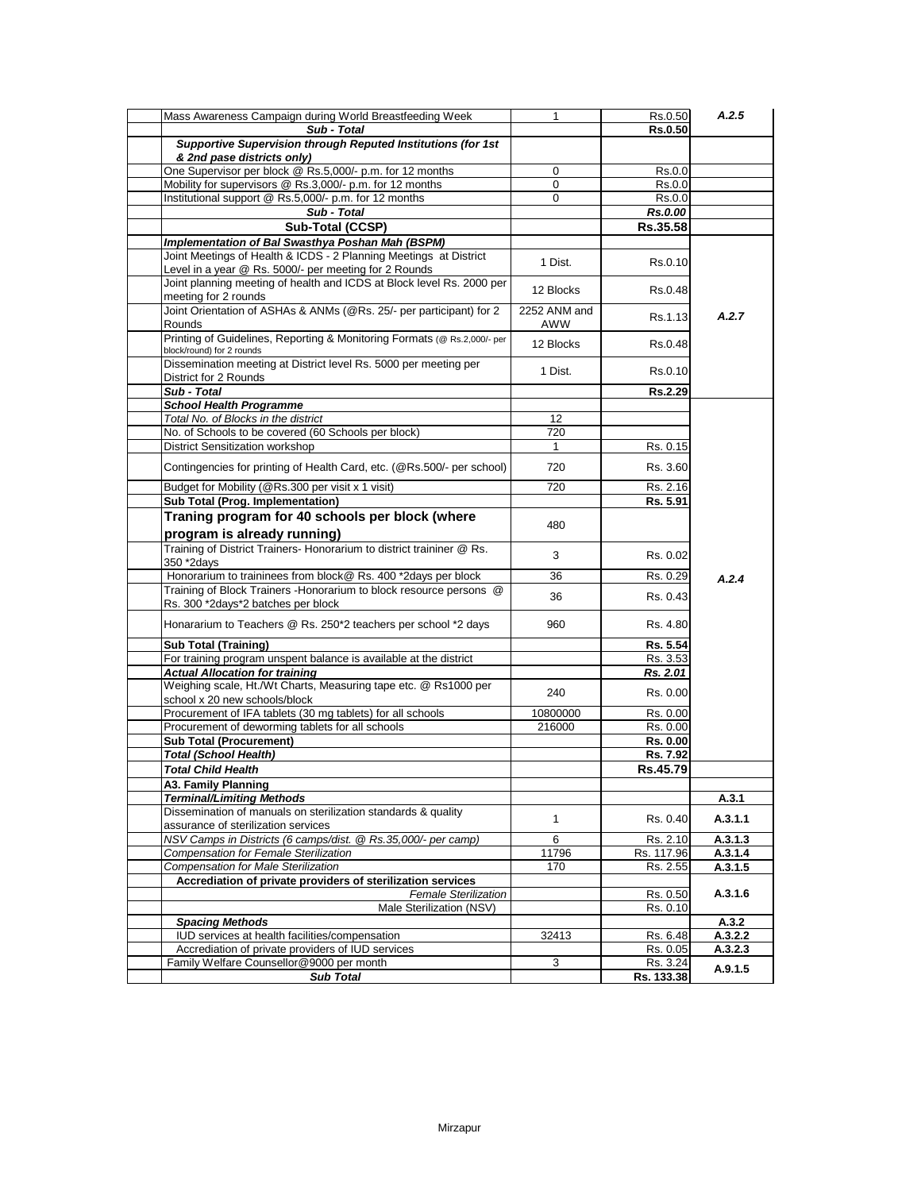| Mass Awareness Campaign during World Breastfeeding Week                                                                    | 1                   | Rs.0.50        | A.2.5   |
|----------------------------------------------------------------------------------------------------------------------------|---------------------|----------------|---------|
| Sub - Total                                                                                                                |                     | <b>Rs.0.50</b> |         |
| Supportive Supervision through Reputed Institutions (for 1st                                                               |                     |                |         |
| & 2nd pase districts only)                                                                                                 |                     |                |         |
| One Supervisor per block @ Rs.5,000/- p.m. for 12 months                                                                   | 0                   | Rs.0.0         |         |
| Mobility for supervisors @ Rs.3,000/- p.m. for 12 months                                                                   | 0                   | Rs.0.0         |         |
| Institutional support @ Rs.5,000/- p.m. for 12 months                                                                      | 0                   | Rs.0.0         |         |
| Sub - Total                                                                                                                |                     | <b>Rs.0.00</b> |         |
| Sub-Total (CCSP)                                                                                                           |                     | Rs.35.58       |         |
| Implementation of Bal Swasthya Poshan Mah (BSPM)                                                                           |                     |                |         |
| Joint Meetings of Health & ICDS - 2 Planning Meetings at District<br>Level in a year @ Rs. 5000/- per meeting for 2 Rounds | 1 Dist.             | Rs.0.10        |         |
| Joint planning meeting of health and ICDS at Block level Rs. 2000 per<br>meeting for 2 rounds                              | 12 Blocks           | Rs.0.48        |         |
| Joint Orientation of ASHAs & ANMs (@Rs. 25/- per participant) for 2<br>Rounds                                              | 2252 ANM and<br>AWW | Rs.1.13        | A.2.7   |
| Printing of Guidelines, Reporting & Monitoring Formats (@ Rs.2,000/- per<br>block/round) for 2 rounds                      | 12 Blocks           | Rs.0.48        |         |
| Dissemination meeting at District level Rs. 5000 per meeting per<br>District for 2 Rounds                                  | 1 Dist.             | Rs.0.10        |         |
| Sub - Total                                                                                                                |                     | <b>Rs.2.29</b> |         |
| <b>School Health Programme</b>                                                                                             |                     |                |         |
| Total No. of Blocks in the district                                                                                        | 12                  |                |         |
| No. of Schools to be covered (60 Schools per block)                                                                        | 720                 |                |         |
| District Sensitization workshop                                                                                            | $\mathbf 1$         | Rs. 0.15       |         |
| Contingencies for printing of Health Card, etc. (@Rs.500/- per school)                                                     | 720                 | Rs. 3.60       |         |
| Budget for Mobility (@Rs.300 per visit x 1 visit)                                                                          | 720                 | Rs. 2.16       |         |
| Sub Total (Prog. Implementation)                                                                                           |                     | Rs. 5.91       |         |
| Traning program for 40 schools per block (where<br>program is already running)                                             | 480                 |                |         |
| Training of District Trainers- Honorarium to district traininer @ Rs.<br>350 *2days                                        | 3                   | Rs. 0.02       |         |
| Honorarium to traininees from block@ Rs. 400 *2days per block                                                              | 36                  | Rs. 0.29       | A.2.4   |
| Training of Block Trainers - Honorarium to block resource persons @<br>Rs. 300 *2days*2 batches per block                  | 36                  | Rs. 0.43       |         |
| Honararium to Teachers @ Rs. 250*2 teachers per school *2 days                                                             | 960                 | Rs. 4.80       |         |
| <b>Sub Total (Training)</b>                                                                                                |                     | Rs. 5.54       |         |
| For training program unspent balance is available at the district                                                          |                     | Rs. 3.53       |         |
| <b>Actual Allocation for training</b>                                                                                      |                     | Rs. 2.01       |         |
| Weighing scale, Ht./Wt Charts, Measuring tape etc. @ Rs1000 per<br>school x 20 new schools/block                           | 240                 | Rs. 0.00       |         |
| Procurement of IFA tablets (30 mg tablets) for all schools                                                                 | 10800000            | Rs. 0.00       |         |
| Procurement of deworming tablets for all schools                                                                           | 216000              | Rs. 0.00       |         |
| <b>Sub Total (Procurement)</b>                                                                                             |                     | Rs. 0.00       |         |
| <b>Total (School Health)</b>                                                                                               |                     | Rs. 7.92       |         |
| <b>Total Child Health</b>                                                                                                  |                     | Rs.45.79       |         |
| A3. Family Planning                                                                                                        |                     |                |         |
| <b>Terminal/Limiting Methods</b>                                                                                           |                     |                | A.3.1   |
| Dissemination of manuals on sterilization standards & quality<br>assurance of sterilization services                       | $\mathbf{1}$        | Rs. 0.40       | A.3.1.1 |
| NSV Camps in Districts (6 camps/dist. @ Rs.35,000/- per camp)                                                              | 6                   | Rs. 2.10       | A.3.1.3 |
| <b>Compensation for Female Sterilization</b>                                                                               | 11796               | Rs. 117.96     | A.3.1.4 |
| <b>Compensation for Male Sterilization</b>                                                                                 | 170                 | Rs. 2.55       | A.3.1.5 |
| Accrediation of private providers of sterilization services                                                                |                     |                |         |
| <b>Female Sterilization</b>                                                                                                |                     | Rs. 0.50       | A.3.1.6 |
| Male Sterilization (NSV)                                                                                                   |                     | Rs. 0.10       |         |
| <b>Spacing Methods</b>                                                                                                     |                     |                | A.3.2   |
| IUD services at health facilities/compensation                                                                             | 32413               | Rs. 6.48       | A.3.2.2 |
| Accrediation of private providers of IUD services                                                                          |                     | Rs. 0.05       | A.3.2.3 |
| Family Welfare Counsellor@9000 per month                                                                                   | 3                   | Rs. 3.24       | A.9.1.5 |
| <b>Sub Total</b>                                                                                                           |                     | Rs. 133.38     |         |
|                                                                                                                            |                     |                |         |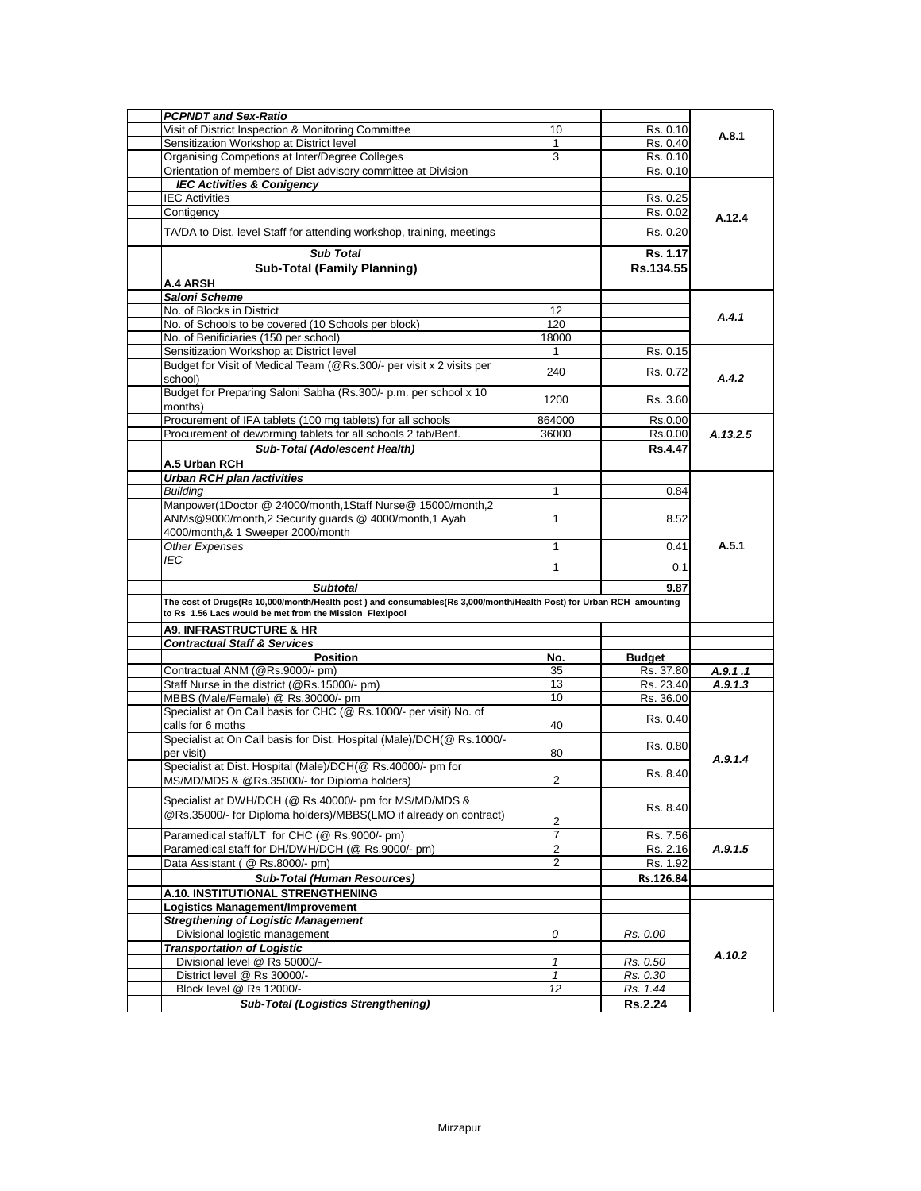| <b>PCPNDT and Sex-Ratio</b>                                                                                        |                |                |          |
|--------------------------------------------------------------------------------------------------------------------|----------------|----------------|----------|
| Visit of District Inspection & Monitoring Committee                                                                | 10             | Rs. 0.10       |          |
| Sensitization Workshop at District level                                                                           | 1              | Rs. 0.40       | A.8.1    |
| Organising Competions at Inter/Degree Colleges                                                                     | 3              | Rs. 0.10       |          |
| Orientation of members of Dist advisory committee at Division                                                      |                | Rs. 0.10       |          |
| <b>IEC Activities &amp; Conigency</b>                                                                              |                |                |          |
| <b>IEC Activities</b>                                                                                              |                | Rs. 0.25       |          |
| Contigency                                                                                                         |                | Rs. 0.02       | A.12.4   |
|                                                                                                                    |                |                |          |
| TA/DA to Dist. level Staff for attending workshop, training, meetings                                              |                | Rs. 0.20       |          |
| <b>Sub Total</b>                                                                                                   |                | Rs. 1.17       |          |
| <b>Sub-Total (Family Planning)</b>                                                                                 |                | Rs.134.55      |          |
| A.4 ARSH                                                                                                           |                |                |          |
| <b>Saloni Scheme</b>                                                                                               |                |                |          |
| No. of Blocks in District                                                                                          | 12             |                |          |
| No. of Schools to be covered (10 Schools per block)                                                                | 120            |                | A.4.1    |
| No. of Benificiaries (150 per school)                                                                              | 18000          |                |          |
| Sensitization Workshop at District level                                                                           | 1              | Rs. 0.15       |          |
| Budget for Visit of Medical Team (@Rs.300/- per visit x 2 visits per                                               |                |                |          |
| school)                                                                                                            | 240            | Rs. 0.72       | A.4.2    |
| Budget for Preparing Saloni Sabha (Rs.300/- p.m. per school x 10                                                   |                |                |          |
| months)                                                                                                            | 1200           | Rs. 3.60       |          |
| Procurement of IFA tablets (100 mg tablets) for all schools                                                        | 864000         | Rs.0.00        |          |
| Procurement of deworming tablets for all schools 2 tab/Benf.                                                       | 36000          | Rs.0.00        | A.13.2.5 |
| Sub-Total (Adolescent Health)                                                                                      |                | <b>Rs.4.47</b> |          |
| A.5 Urban RCH                                                                                                      |                |                |          |
| <b>Urban RCH plan /activities</b>                                                                                  |                |                |          |
| <b>Buildina</b>                                                                                                    | 1              | 0.84           |          |
| Manpower(1Doctor @ 24000/month,1Staff Nurse@ 15000/month,2                                                         |                |                |          |
| ANMs@9000/month,2 Security guards @ 4000/month,1 Ayah                                                              | 1              | 8.52           |          |
| 4000/month,& 1 Sweeper 2000/month                                                                                  |                |                |          |
| Other Expenses                                                                                                     | 1              | 0.41           | A.5.1    |
| IEC.                                                                                                               |                |                |          |
|                                                                                                                    | $\mathbf{1}$   | 0.1            |          |
| <b>Subtotal</b>                                                                                                    |                | 9.87           |          |
| The cost of Drugs(Rs 10,000/month/Health post) and consumables(Rs 3,000/month/Health Post) for Urban RCH amounting |                |                |          |
| to Rs 1.56 Lacs would be met from the Mission Flexipool                                                            |                |                |          |
| <b>A9. INFRASTRUCTURE &amp; HR</b>                                                                                 |                |                |          |
| <b>Contractual Staff &amp; Services</b>                                                                            |                |                |          |
| Position                                                                                                           | No.            | <b>Budget</b>  |          |
| Contractual ANM (@Rs.9000/- pm)                                                                                    | 35             | Rs. 37.80      | A.9.1.1  |
| Staff Nurse in the district (@Rs.15000/- pm)                                                                       | 13             | Rs. 23.40      | A.9.1.3  |
| MBBS (Male/Female) @ Rs.30000/- pm                                                                                 | 10             | Rs. 36.00      |          |
| Specialist at On Call basis for CHC (@ Rs.1000/- per visit) No. of                                                 |                |                |          |
| calls for 6 moths                                                                                                  | 40             | Rs. 0.40       |          |
| Specialist at On Call basis for Dist. Hospital (Male)/DCH(@ Rs.1000/-                                              |                |                |          |
| per visit)                                                                                                         | 80             | Rs. 0.80       |          |
| Specialist at Dist. Hospital (Male)/DCH(@ Rs.40000/- pm for                                                        |                |                | A.9.1.4  |
| MS/MD/MDS & @Rs.35000/- for Diploma holders)                                                                       | $\overline{2}$ | Rs. 8.40       |          |
|                                                                                                                    |                |                |          |
| Specialist at DWH/DCH (@ Rs.40000/- pm for MS/MD/MDS &                                                             |                | Rs. 8.40       |          |
| @Rs.35000/- for Diploma holders)/MBBS(LMO if already on contract)                                                  | 2              |                |          |
| Paramedical staff/LT for CHC (@ Rs.9000/- pm)                                                                      | 7              | Rs. 7.56       |          |
| Paramedical staff for DH/DWH/DCH (@ Rs.9000/- pm)                                                                  | 2              | Rs. 2.16       | A.9.1.5  |
| Data Assistant (@ Rs.8000/- pm)                                                                                    | $\overline{2}$ | Rs. 1.92       |          |
| <b>Sub-Total (Human Resources)</b>                                                                                 |                | Rs.126.84      |          |
| A.10. INSTITUTIONAL STRENGTHENING                                                                                  |                |                |          |
|                                                                                                                    |                |                |          |
| <b>Logistics Management/Improvement</b>                                                                            |                |                |          |
| <b>Stregthening of Logistic Management</b>                                                                         |                |                |          |
| Divisional logistic management                                                                                     | 0              | Rs. 0.00       |          |
| <b>Transportation of Logistic</b>                                                                                  | 1              |                | A.10.2   |
| Divisional level @ Rs 50000/-                                                                                      |                | Rs. 0.50       |          |
| District level @ Rs 30000/-<br>Block level @ Rs 12000/-                                                            | 1              | Rs. 0.30       |          |
|                                                                                                                    | 12             | Rs. 1.44       |          |
| <b>Sub-Total (Logistics Strengthening)</b>                                                                         |                | <b>Rs.2.24</b> |          |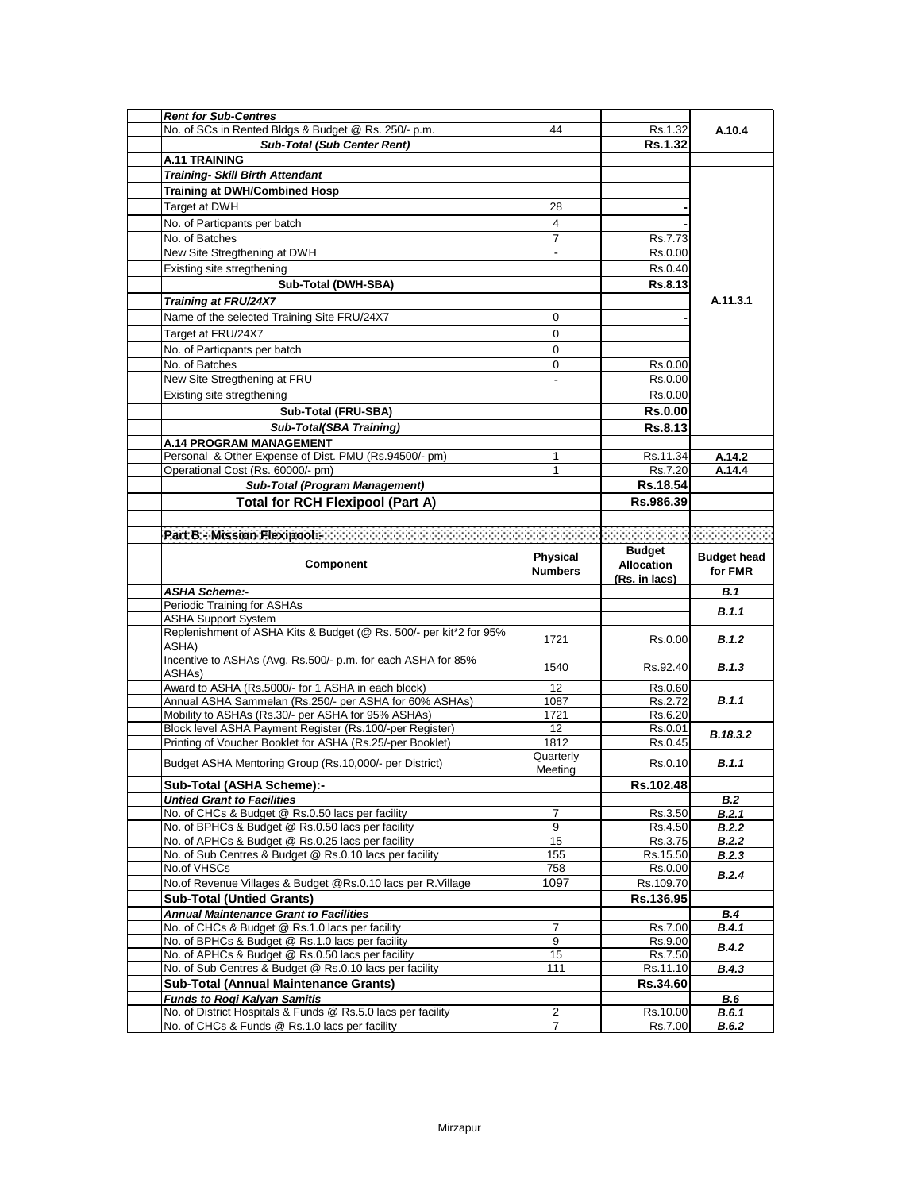| <b>Rent for Sub-Centres</b>                                                                         |                                   |                                                     |                               |
|-----------------------------------------------------------------------------------------------------|-----------------------------------|-----------------------------------------------------|-------------------------------|
| No. of SCs in Rented Bldgs & Budget @ Rs. 250/- p.m.                                                | 44                                | Rs.1.32                                             | A.10.4                        |
| <b>Sub-Total (Sub Center Rent)</b>                                                                  |                                   | <b>Rs.1.32</b>                                      |                               |
| <b>A.11 TRAINING</b>                                                                                |                                   |                                                     |                               |
| <b>Training- Skill Birth Attendant</b>                                                              |                                   |                                                     |                               |
| <b>Training at DWH/Combined Hosp</b>                                                                |                                   |                                                     |                               |
| Target at DWH                                                                                       | 28                                |                                                     |                               |
| No. of Particpants per batch                                                                        | 4                                 |                                                     |                               |
| No. of Batches                                                                                      | $\overline{7}$                    | Rs.7.73                                             |                               |
| New Site Stregthening at DWH                                                                        | $\sim$                            | Rs.0.00                                             |                               |
| Existing site stregthening                                                                          |                                   | Rs.0.40                                             |                               |
| Sub-Total (DWH-SBA)                                                                                 |                                   | Rs.8.13                                             |                               |
|                                                                                                     |                                   |                                                     | A.11.3.1                      |
| Training at FRU/24X7                                                                                |                                   |                                                     |                               |
| Name of the selected Training Site FRU/24X7                                                         | 0                                 |                                                     |                               |
| Target at FRU/24X7                                                                                  | 0                                 |                                                     |                               |
| No. of Particpants per batch                                                                        | 0                                 |                                                     |                               |
| No. of Batches                                                                                      | 0                                 | Rs.0.00                                             |                               |
| New Site Stregthening at FRU                                                                        | $\sim$                            | Rs.0.00                                             |                               |
| Existing site stregthening                                                                          |                                   | Rs.0.00                                             |                               |
| Sub-Total (FRU-SBA)                                                                                 |                                   | <b>Rs.0.00</b>                                      |                               |
| <b>Sub-Total(SBA Training)</b>                                                                      |                                   | Rs.8.13                                             |                               |
| A.14 PROGRAM MANAGEMENT                                                                             |                                   |                                                     |                               |
| Personal & Other Expense of Dist. PMU (Rs.94500/- pm)                                               | 1                                 | Rs.11.34                                            | A.14.2                        |
| Operational Cost (Rs. 60000/- pm)                                                                   | $\mathbf 1$                       | Rs.7.20                                             | A.14.4                        |
| Sub-Total (Program Management)                                                                      |                                   | Rs.18.54                                            |                               |
| <b>Total for RCH Flexipool (Part A)</b>                                                             |                                   | Rs.986.39                                           |                               |
|                                                                                                     |                                   |                                                     |                               |
| Part B - Mission Flexipool.                                                                         |                                   |                                                     |                               |
|                                                                                                     |                                   |                                                     |                               |
| <b>Component</b>                                                                                    | <b>Physical</b><br><b>Numbers</b> | <b>Budget</b><br><b>Allocation</b><br>(Rs. in lacs) | <b>Budget head</b><br>for FMR |
| <b>ASHA Scheme:-</b>                                                                                |                                   |                                                     | B.1                           |
| Periodic Training for ASHAs                                                                         |                                   |                                                     | B.1.1                         |
| <b>ASHA Support System</b>                                                                          |                                   |                                                     |                               |
| Replenishment of ASHA Kits & Budget (@ Rs. 500/- per kit*2 for 95%<br>ASHA)                         | 1721                              | Rs.0.00                                             | B.1.2                         |
| Incentive to ASHAs (Avg. Rs.500/- p.m. for each ASHA for 85%                                        |                                   |                                                     |                               |
|                                                                                                     |                                   |                                                     |                               |
| ASHA <sub>s</sub> )                                                                                 | 1540                              | Rs.92.40                                            | B.1.3                         |
| Award to ASHA (Rs.5000/- for 1 ASHA in each block)                                                  | 12                                | Rs.0.60                                             |                               |
| Annual ASHA Sammelan (Rs.250/- per ASHA for 60% ASHAs)                                              | 1087                              | Rs.2.72                                             | B.1.1                         |
| Mobility to ASHAs (Rs.30/- per ASHA for 95% ASHAs)                                                  | 1721                              | Rs.6.20                                             |                               |
| Block level ASHA Payment Register (Rs.100/-per Register)                                            | 12                                | Rs.0.01                                             | B.18.3.2                      |
| Printing of Voucher Booklet for ASHA (Rs.25/-per Booklet)                                           | 1812                              | Rs.0.45                                             |                               |
| Budget ASHA Mentoring Group (Rs.10,000/- per District)                                              | Quarterly<br>Meeting              | Rs.0.10                                             | <b>B.1.1</b>                  |
| Sub-Total (ASHA Scheme):-                                                                           |                                   | <b>RS.102.48</b>                                    |                               |
| <b>Untied Grant to Facilities</b>                                                                   |                                   |                                                     | <b>B.2</b>                    |
| No. of CHCs & Budget @ Rs.0.50 lacs per facility                                                    | 7                                 | Rs.3.50                                             | B.2.1                         |
| No. of BPHCs & Budget @ Rs.0.50 lacs per facility                                                   | 9                                 | Rs.4.50                                             | B.2.2                         |
| No. of APHCs & Budget @ Rs.0.25 lacs per facility                                                   | 15                                | Rs.3.75                                             | B.2.2                         |
| No. of Sub Centres & Budget @ Rs.0.10 lacs per facility                                             | 155                               | Rs.15.50                                            | B.2.3                         |
| No.of VHSCs                                                                                         | 758                               | Rs.0.00                                             | B.2.4                         |
| No.of Revenue Villages & Budget @Rs.0.10 lacs per R.Village                                         | 1097                              | Rs.109.70                                           |                               |
| <b>Sub-Total (Untied Grants)</b>                                                                    |                                   | Rs.136.95                                           |                               |
| <b>Annual Maintenance Grant to Facilities</b>                                                       |                                   |                                                     | <b>B.4</b>                    |
| No. of CHCs & Budget @ Rs.1.0 lacs per facility                                                     | $\overline{7}$                    | Rs.7.00                                             | B.4.1                         |
| No. of BPHCs & Budget @ Rs.1.0 lacs per facility                                                    | 9                                 | Rs.9.00                                             | <b>B.4.2</b>                  |
| No. of APHCs & Budget @ Rs.0.50 lacs per facility                                                   | 15                                | Rs.7.50                                             |                               |
| No. of Sub Centres & Budget @ Rs.0.10 lacs per facility                                             | 111                               | Rs.11.10                                            | B.4.3                         |
| <b>Sub-Total (Annual Maintenance Grants)</b>                                                        |                                   | Rs.34.60                                            |                               |
| <b>Funds to Rogi Kalyan Samitis</b><br>No. of District Hospitals & Funds @ Rs.5.0 lacs per facility | 2                                 | Rs.10.00                                            | <b>B.6</b><br><b>B.6.1</b>    |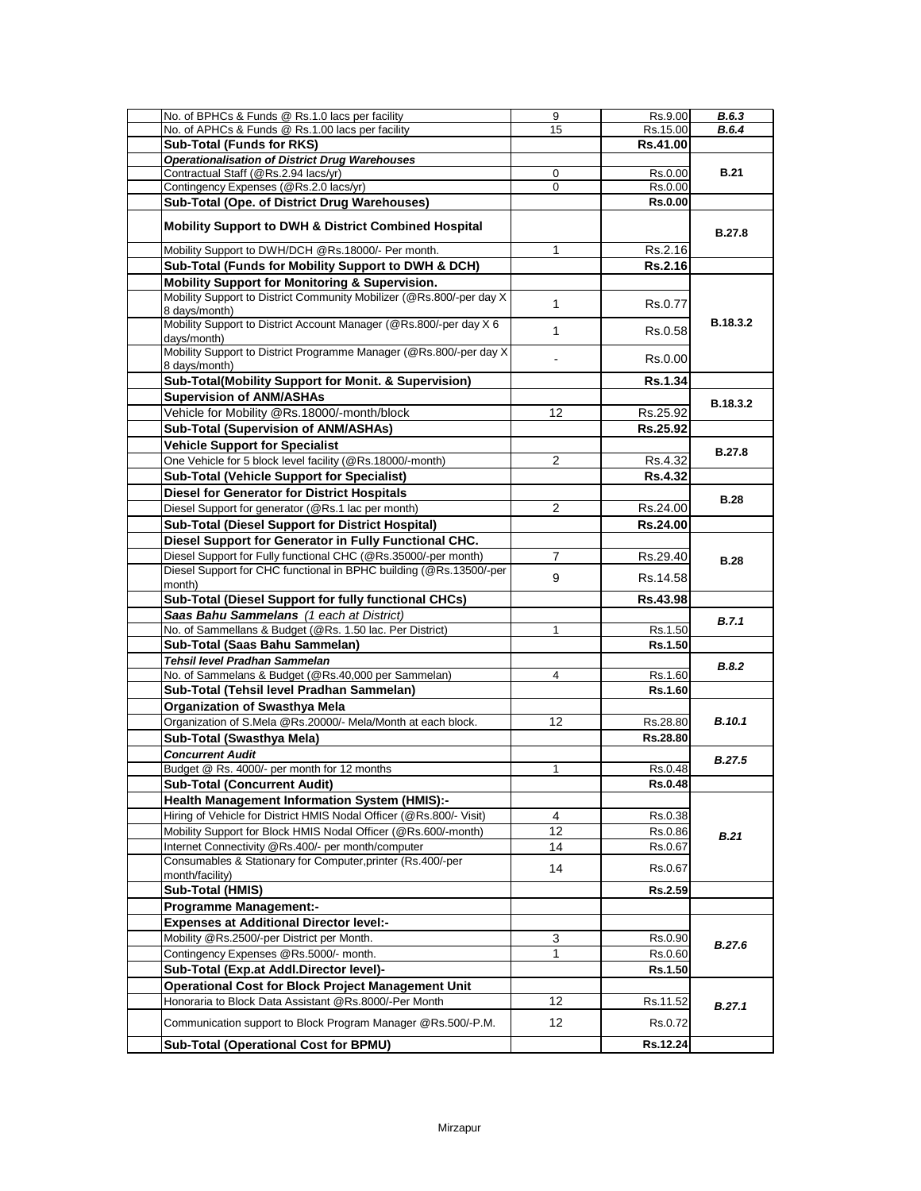| No. of BPHCs & Funds @ Rs.1.0 lacs per facility                                       | 9              | Rs.9.00        | B.6.3           |
|---------------------------------------------------------------------------------------|----------------|----------------|-----------------|
| No. of APHCs & Funds @ Rs.1.00 lacs per facility                                      | 15             | Rs.15.00       | <b>B.6.4</b>    |
| <b>Sub-Total (Funds for RKS)</b>                                                      |                | Rs.41.00       |                 |
| <b>Operationalisation of District Drug Warehouses</b>                                 |                |                |                 |
| Contractual Staff (@Rs.2.94 lacs/yr)                                                  | 0              | Rs.0.00        | <b>B.21</b>     |
| Contingency Expenses (@Rs.2.0 lacs/yr)                                                | 0              | Rs.0.00        |                 |
| Sub-Total (Ope. of District Drug Warehouses)                                          |                | <b>Rs.0.00</b> |                 |
| <b>Mobility Support to DWH &amp; District Combined Hospital</b>                       |                |                | <b>B.27.8</b>   |
| Mobility Support to DWH/DCH @Rs.18000/- Per month.                                    | 1              | Rs.2.16        |                 |
| Sub-Total (Funds for Mobility Support to DWH & DCH)                                   |                | <b>Rs.2.16</b> |                 |
| Mobility Support for Monitoring & Supervision.                                        |                |                |                 |
| Mobility Support to District Community Mobilizer (@Rs.800/-per day X<br>8 days/month) | $\mathbf{1}$   | Rs.0.77        |                 |
| Mobility Support to District Account Manager (@Rs.800/-per day X 6<br>days/month)     | $\mathbf{1}$   | Rs.0.58        | B.18.3.2        |
| Mobility Support to District Programme Manager (@Rs.800/-per day X)<br>8 days/month)  |                | Rs.0.00        |                 |
| Sub-Total(Mobility Support for Monit. & Supervision)                                  |                | <b>Rs.1.34</b> |                 |
| <b>Supervision of ANM/ASHAs</b>                                                       |                |                |                 |
| Vehicle for Mobility @Rs.18000/-month/block                                           | 12             | Rs.25.92       | <b>B.18.3.2</b> |
| Sub-Total (Supervision of ANM/ASHAs)                                                  |                | Rs.25.92       |                 |
| <b>Vehicle Support for Specialist</b>                                                 |                |                |                 |
| One Vehicle for 5 block level facility (@Rs.18000/-month)                             | $\overline{2}$ |                | <b>B.27.8</b>   |
|                                                                                       |                | Rs.4.32        |                 |
| <b>Sub-Total (Vehicle Support for Specialist)</b>                                     |                | <b>Rs.4.32</b> |                 |
| <b>Diesel for Generator for District Hospitals</b>                                    |                |                | <b>B.28</b>     |
| Diesel Support for generator (@Rs.1 lac per month)                                    | $\overline{2}$ | Rs.24.00       |                 |
| <b>Sub-Total (Diesel Support for District Hospital)</b>                               |                | Rs.24.00       |                 |
| Diesel Support for Generator in Fully Functional CHC.                                 |                |                |                 |
| Diesel Support for Fully functional CHC (@Rs.35000/-per month)                        | 7              | Rs.29.40       | <b>B.28</b>     |
| Diesel Support for CHC functional in BPHC building (@Rs.13500/-per<br>month)          | 9              | Rs.14.58       |                 |
| Sub-Total (Diesel Support for fully functional CHCs)                                  |                | Rs.43.98       |                 |
| Saas Bahu Sammelans (1 each at District)                                              |                |                | B.7.1           |
| No. of Sammellans & Budget (@Rs. 1.50 lac. Per District)                              | 1              | Rs.1.50        |                 |
| Sub-Total (Saas Bahu Sammelan)                                                        |                | Rs.1.50        |                 |
| <b>Tehsil level Pradhan Sammelan</b>                                                  |                |                |                 |
| No. of Sammelans & Budget (@Rs.40,000 per Sammelan)                                   | 4              | Rs.1.60        | B.8.2           |
| Sub-Total (Tehsil level Pradhan Sammelan)                                             |                | Rs.1.60        |                 |
| <b>Organization of Swasthya Mela</b>                                                  |                |                |                 |
| Organization of S.Mela @Rs.20000/- Mela/Month at each block.                          | 12             | Rs.28.80       | <b>B.10.1</b>   |
| Sub-Total (Swasthya Mela)                                                             |                | Rs.28.80       |                 |
| <b>Concurrent Audit</b>                                                               |                |                |                 |
| Budget @ Rs. 4000/- per month for 12 months                                           | 1              | Rs.0.48        | <b>B.27.5</b>   |
|                                                                                       |                |                |                 |
| Sub-Total (Concurrent Audit)                                                          |                | <b>Rs.0.48</b> |                 |
| <b>Health Management Information System (HMIS):-</b>                                  |                |                |                 |
| Hiring of Vehicle for District HMIS Nodal Officer (@Rs.800/- Visit)                   | 4              | Rs.0.38        |                 |
| Mobility Support for Block HMIS Nodal Officer (@Rs.600/-month)                        | 12             | Rs.0.86        | <b>B.21</b>     |
| Internet Connectivity @Rs.400/- per month/computer                                    | 14             | Rs.0.67        |                 |
| Consumables & Stationary for Computer, printer (Rs.400/-per<br>month/facility)        | 14             | Rs.0.67        |                 |
| Sub-Total (HMIS)                                                                      |                | Rs.2.59        |                 |
| <b>Programme Management:-</b>                                                         |                |                |                 |
| <b>Expenses at Additional Director level:-</b>                                        |                |                |                 |
| Mobility @Rs.2500/-per District per Month.                                            | 3              | Rs.0.90        |                 |
| Contingency Expenses @Rs.5000/- month.                                                | 1              | Rs.0.60        | B.27.6          |
| Sub-Total (Exp.at Addl.Director level)-                                               |                | <b>Rs.1.50</b> |                 |
| <b>Operational Cost for Block Project Management Unit</b>                             |                |                |                 |
| Honoraria to Block Data Assistant @Rs.8000/-Per Month                                 | 12             | Rs.11.52       |                 |
|                                                                                       |                |                | B.27.1          |
| Communication support to Block Program Manager @Rs.500/-P.M.                          | 12             | Rs.0.72        |                 |
| <b>Sub-Total (Operational Cost for BPMU)</b>                                          |                | Rs.12.24       |                 |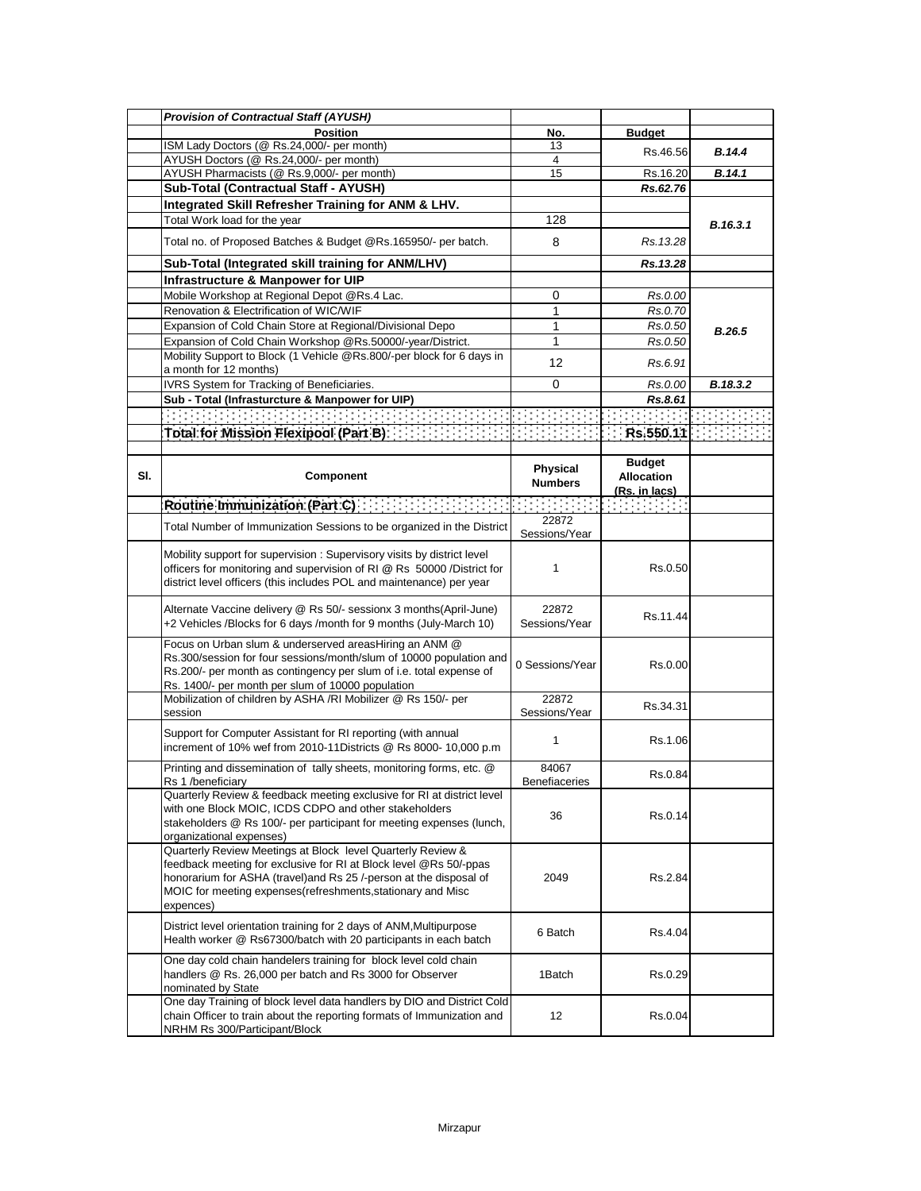|     | <b>Provision of Contractual Staff (AYUSH)</b>                                                                                                                                                                                                                                       |                                                                                                                                                                                                                                                                                                                                                                                                                                                           |                                            |               |
|-----|-------------------------------------------------------------------------------------------------------------------------------------------------------------------------------------------------------------------------------------------------------------------------------------|-----------------------------------------------------------------------------------------------------------------------------------------------------------------------------------------------------------------------------------------------------------------------------------------------------------------------------------------------------------------------------------------------------------------------------------------------------------|--------------------------------------------|---------------|
|     | <b>Position</b>                                                                                                                                                                                                                                                                     | No.                                                                                                                                                                                                                                                                                                                                                                                                                                                       | <b>Budget</b>                              |               |
|     | ISM Lady Doctors (@ Rs.24,000/- per month)                                                                                                                                                                                                                                          | 13                                                                                                                                                                                                                                                                                                                                                                                                                                                        | Rs.46.56                                   | <b>B.14.4</b> |
|     | AYUSH Doctors (@ Rs.24,000/- per month)                                                                                                                                                                                                                                             | 4                                                                                                                                                                                                                                                                                                                                                                                                                                                         |                                            |               |
|     | AYUSH Pharmacists (@ Rs.9,000/- per month)                                                                                                                                                                                                                                          | 15                                                                                                                                                                                                                                                                                                                                                                                                                                                        | Rs.16.20                                   | B.14.1        |
|     | Sub-Total (Contractual Staff - AYUSH)                                                                                                                                                                                                                                               |                                                                                                                                                                                                                                                                                                                                                                                                                                                           | Rs.62.76                                   |               |
|     | Integrated Skill Refresher Training for ANM & LHV.                                                                                                                                                                                                                                  |                                                                                                                                                                                                                                                                                                                                                                                                                                                           |                                            |               |
|     | Total Work load for the year                                                                                                                                                                                                                                                        | 128                                                                                                                                                                                                                                                                                                                                                                                                                                                       |                                            | B.16.3.1      |
|     | Total no. of Proposed Batches & Budget @Rs.165950/- per batch.                                                                                                                                                                                                                      | 8                                                                                                                                                                                                                                                                                                                                                                                                                                                         | Rs. 13.28                                  |               |
|     | Sub-Total (Integrated skill training for ANM/LHV)                                                                                                                                                                                                                                   |                                                                                                                                                                                                                                                                                                                                                                                                                                                           | Rs.13.28                                   |               |
|     | Infrastructure & Manpower for UIP                                                                                                                                                                                                                                                   |                                                                                                                                                                                                                                                                                                                                                                                                                                                           |                                            |               |
|     | Mobile Workshop at Regional Depot @Rs.4 Lac.                                                                                                                                                                                                                                        | 0                                                                                                                                                                                                                                                                                                                                                                                                                                                         | Rs.0.00                                    |               |
|     | Renovation & Electrification of WIC/WIF                                                                                                                                                                                                                                             | $\mathbf{1}$                                                                                                                                                                                                                                                                                                                                                                                                                                              | Rs.0.70                                    |               |
|     | Expansion of Cold Chain Store at Regional/Divisional Depo                                                                                                                                                                                                                           | 1                                                                                                                                                                                                                                                                                                                                                                                                                                                         | Rs.0.50                                    | B.26.5        |
|     | Expansion of Cold Chain Workshop @Rs.50000/-year/District.                                                                                                                                                                                                                          | 1                                                                                                                                                                                                                                                                                                                                                                                                                                                         | Rs.0.50                                    |               |
|     | Mobility Support to Block (1 Vehicle @Rs.800/-per block for 6 days in<br>a month for 12 months)                                                                                                                                                                                     | 12                                                                                                                                                                                                                                                                                                                                                                                                                                                        | Rs.6.91                                    |               |
|     | IVRS System for Tracking of Beneficiaries.                                                                                                                                                                                                                                          | $\mathbf 0$                                                                                                                                                                                                                                                                                                                                                                                                                                               | Rs.0.00                                    | B.18.3.2      |
|     | Sub - Total (Infrasturcture & Manpower for UIP)                                                                                                                                                                                                                                     |                                                                                                                                                                                                                                                                                                                                                                                                                                                           | Rs.8.61                                    |               |
|     |                                                                                                                                                                                                                                                                                     |                                                                                                                                                                                                                                                                                                                                                                                                                                                           |                                            |               |
|     | Total for Mission Flexipool (Part B) : $\{1,1,2,3,4\}$ : $\{1,2,3,4\}$ : $\{1,3,4\}$ : Rs.550.11 : $\{1,2,3,4\}$                                                                                                                                                                    |                                                                                                                                                                                                                                                                                                                                                                                                                                                           |                                            |               |
|     |                                                                                                                                                                                                                                                                                     |                                                                                                                                                                                                                                                                                                                                                                                                                                                           |                                            |               |
| SI. | <b>Component</b>                                                                                                                                                                                                                                                                    | <b>Physical</b><br><b>Numbers</b>                                                                                                                                                                                                                                                                                                                                                                                                                         | <b>Budget</b><br><b>Allocation</b>         |               |
|     | Routine Immunization (Part C) [1999]                                                                                                                                                                                                                                                | $\mathcal{L}^{\mathcal{L}}(\mathcal{L}^{\mathcal{L}}(\mathcal{L}^{\mathcal{L}}(\mathcal{L}^{\mathcal{L}}(\mathcal{L}^{\mathcal{L}}(\mathcal{L}^{\mathcal{L}}(\mathcal{L}^{\mathcal{L}}(\mathcal{L}^{\mathcal{L}}(\mathcal{L}^{\mathcal{L}}(\mathcal{L}^{\mathcal{L}}(\mathcal{L}^{\mathcal{L}}(\mathcal{L}^{\mathcal{L}}(\mathcal{L}^{\mathcal{L}}(\mathcal{L}^{\mathcal{L}}(\mathcal{L}^{\mathcal{L}}(\mathcal{L}^{\mathcal{L}}(\mathcal{L}^{\mathcal{L$ | <u>(Rs. in lacs)</u><br>and the company of |               |
|     |                                                                                                                                                                                                                                                                                     | 22872                                                                                                                                                                                                                                                                                                                                                                                                                                                     |                                            |               |
|     | Total Number of Immunization Sessions to be organized in the District                                                                                                                                                                                                               | Sessions/Year                                                                                                                                                                                                                                                                                                                                                                                                                                             |                                            |               |
|     | Mobility support for supervision: Supervisory visits by district level<br>officers for monitoring and supervision of RI @ Rs 50000 /District for<br>district level officers (this includes POL and maintenance) per year                                                            | 1                                                                                                                                                                                                                                                                                                                                                                                                                                                         | Rs.0.50                                    |               |
|     | Alternate Vaccine delivery @ Rs 50/- sessionx 3 months(April-June)<br>+2 Vehicles /Blocks for 6 days /month for 9 months (July-March 10)                                                                                                                                            | 22872<br>Sessions/Year                                                                                                                                                                                                                                                                                                                                                                                                                                    | Rs.11.44                                   |               |
|     | Focus on Urban slum & underserved areasHiring an ANM @<br>Rs.300/session for four sessions/month/slum of 10000 population and<br>Rs.200/- per month as contingency per slum of i.e. total expense of<br>Rs. 1400/- per month per slum of 10000 population                           | 0 Sessions/Year                                                                                                                                                                                                                                                                                                                                                                                                                                           | Rs.0.00                                    |               |
|     | Mobilization of children by ASHA /RI Mobilizer @ Rs 150/- per                                                                                                                                                                                                                       | 22872                                                                                                                                                                                                                                                                                                                                                                                                                                                     | Rs.34.31                                   |               |
|     | session                                                                                                                                                                                                                                                                             | Sessions/Year                                                                                                                                                                                                                                                                                                                                                                                                                                             |                                            |               |
|     | Support for Computer Assistant for RI reporting (with annual<br>increment of 10% wef from 2010-11Districts @ Rs 8000- 10,000 p.m                                                                                                                                                    | 1                                                                                                                                                                                                                                                                                                                                                                                                                                                         | Rs.1.06                                    |               |
|     | Printing and dissemination of tally sheets, monitoring forms, etc. @<br>Rs 1 /beneficiary                                                                                                                                                                                           | 84067<br>Benefiaceries                                                                                                                                                                                                                                                                                                                                                                                                                                    | Rs.0.84                                    |               |
|     | Quarterly Review & feedback meeting exclusive for RI at district level<br>with one Block MOIC, ICDS CDPO and other stakeholders<br>stakeholders @ Rs 100/- per participant for meeting expenses (lunch,<br>organizational expenses)                                                 | 36                                                                                                                                                                                                                                                                                                                                                                                                                                                        | Rs.0.14                                    |               |
|     | Quarterly Review Meetings at Block level Quarterly Review &<br>feedback meeting for exclusive for RI at Block level @Rs 50/-ppas<br>honorarium for ASHA (travel) and Rs 25 /-person at the disposal of<br>MOIC for meeting expenses (refreshments, stationary and Misc<br>expences) | 2049                                                                                                                                                                                                                                                                                                                                                                                                                                                      | Rs.2.84                                    |               |
|     | District level orientation training for 2 days of ANM, Multipurpose<br>Health worker @ Rs67300/batch with 20 participants in each batch                                                                                                                                             | 6 Batch                                                                                                                                                                                                                                                                                                                                                                                                                                                   | Rs.4.04                                    |               |
|     | One day cold chain handelers training for block level cold chain<br>handlers @ Rs. 26,000 per batch and Rs 3000 for Observer<br>nominated by State                                                                                                                                  | 1Batch                                                                                                                                                                                                                                                                                                                                                                                                                                                    | Rs.0.29                                    |               |
|     | One day Training of block level data handlers by DIO and District Cold<br>chain Officer to train about the reporting formats of Immunization and<br>NRHM Rs 300/Participant/Block                                                                                                   | 12                                                                                                                                                                                                                                                                                                                                                                                                                                                        | Rs.0.04                                    |               |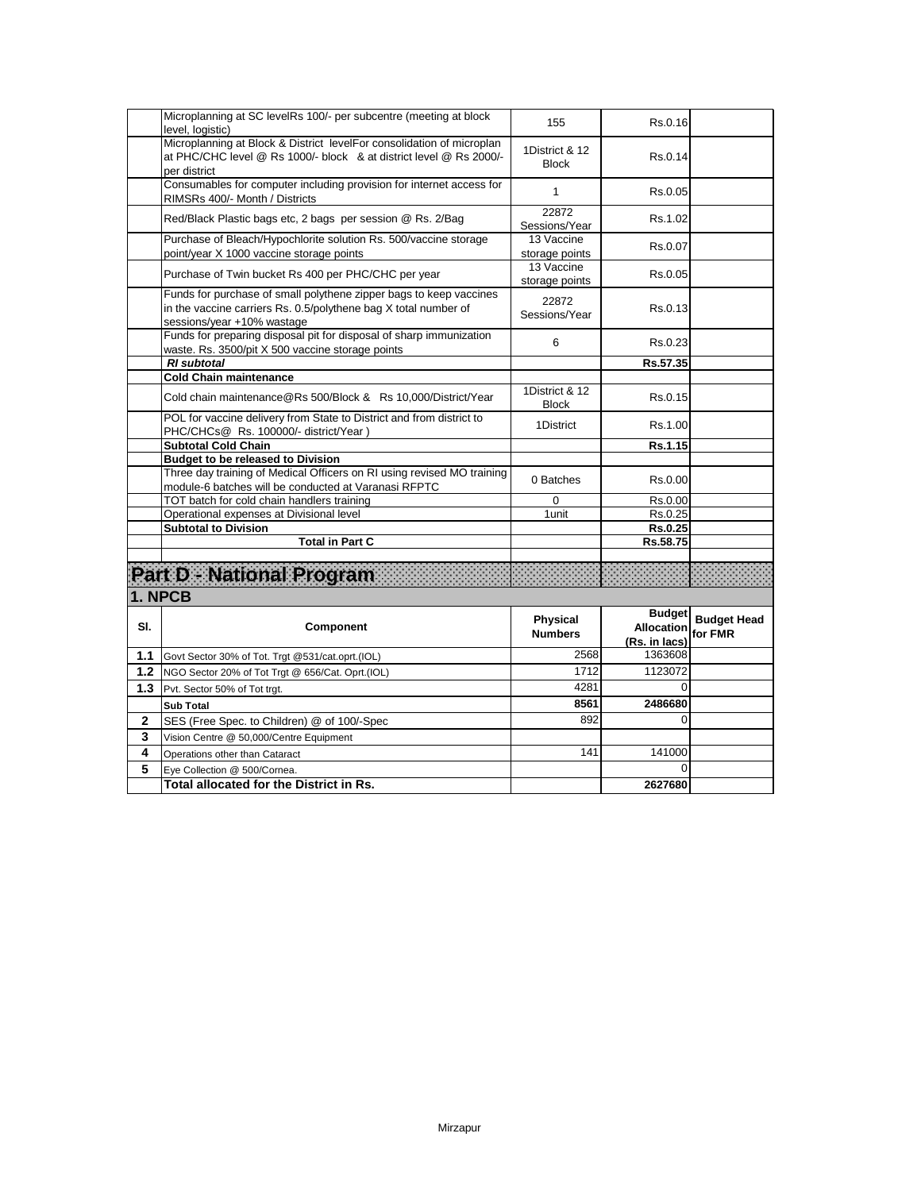|        | Microplanning at SC levelRs 100/- per subcentre (meeting at block<br>level, logistic)                                                                               | 155                               | Rs.0.16                                             |                               |
|--------|---------------------------------------------------------------------------------------------------------------------------------------------------------------------|-----------------------------------|-----------------------------------------------------|-------------------------------|
|        | Microplanning at Block & District levelFor consolidation of microplan<br>at PHC/CHC level @ Rs 1000/- block & at district level @ Rs 2000/-<br>per district         | 1District & 12<br><b>Block</b>    | Rs.0.14                                             |                               |
|        | Consumables for computer including provision for internet access for<br>RIMSRs 400/- Month / Districts                                                              | 1                                 | Rs.0.05                                             |                               |
|        | Red/Black Plastic bags etc, 2 bags per session @ Rs. 2/Bag                                                                                                          | 22872<br>Sessions/Year            | Rs.1.02                                             |                               |
|        | Purchase of Bleach/Hypochlorite solution Rs. 500/vaccine storage<br>point/year X 1000 vaccine storage points                                                        | 13 Vaccine<br>storage points      | Rs.0.07                                             |                               |
|        | Purchase of Twin bucket Rs 400 per PHC/CHC per year                                                                                                                 | 13 Vaccine<br>storage points      | Rs.0.05                                             |                               |
|        | Funds for purchase of small polythene zipper bags to keep vaccines<br>in the vaccine carriers Rs. 0.5/polythene bag X total number of<br>sessions/year +10% wastage | 22872<br>Sessions/Year            | Rs.0.13                                             |                               |
|        | Funds for preparing disposal pit for disposal of sharp immunization<br>waste. Rs. 3500/pit X 500 vaccine storage points                                             | 6                                 | Rs.0.23                                             |                               |
|        | <b>RI</b> subtotal                                                                                                                                                  |                                   | Rs.57.35                                            |                               |
|        | <b>Cold Chain maintenance</b>                                                                                                                                       |                                   |                                                     |                               |
|        | Cold chain maintenance@Rs 500/Block & Rs 10,000/District/Year                                                                                                       | 1District & 12<br><b>Block</b>    | Rs.0.15                                             |                               |
|        | POL for vaccine delivery from State to District and from district to<br>PHC/CHCs@ Rs. 100000/- district/Year)                                                       | 1District                         | Rs.1.00                                             |                               |
|        | <b>Subtotal Cold Chain</b>                                                                                                                                          |                                   | Rs.1.15                                             |                               |
|        | <b>Budget to be released to Division</b>                                                                                                                            |                                   |                                                     |                               |
|        | Three day training of Medical Officers on RI using revised MO training<br>module-6 batches will be conducted at Varanasi RFPTC                                      | 0 Batches                         | Rs.0.00                                             |                               |
|        | TOT batch for cold chain handlers training                                                                                                                          | 0                                 | Rs.0.00                                             |                               |
|        | Operational expenses at Divisional level                                                                                                                            | 1unit                             | Rs.0.25                                             |                               |
|        | <b>Subtotal to Division</b>                                                                                                                                         |                                   | <b>Rs.0.25</b>                                      |                               |
|        | <b>Total in Part C</b>                                                                                                                                              |                                   | Rs.58.75                                            |                               |
|        | Part D - National Program<br>1. NPCB                                                                                                                                |                                   |                                                     |                               |
| SI.    | Component                                                                                                                                                           | <b>Physical</b><br><b>Numbers</b> | <b>Budget</b><br><b>Allocation</b><br>(Rs. in lacs) | <b>Budget Head</b><br>for FMR |
| 1.1    | Govt Sector 30% of Tot. Trgt @531/cat.oprt.(IOL)                                                                                                                    | 2568                              | 1363608                                             |                               |
| 1.2    | NGO Sector 20% of Tot Trgt @ 656/Cat. Oprt.(IOL)                                                                                                                    | 1712                              | 1123072                                             |                               |
| 1.3    | Pvt. Sector 50% of Tot trgt.                                                                                                                                        | 4281                              | $\Omega$                                            |                               |
|        | <b>Sub Total</b>                                                                                                                                                    | 8561                              | 2486680                                             |                               |
|        | SES (Free Spec. to Children) @ of 100/-Spec                                                                                                                         | 892                               | 0                                                   |                               |
|        |                                                                                                                                                                     |                                   |                                                     |                               |
| 2      |                                                                                                                                                                     |                                   |                                                     |                               |
| 3      | Vision Centre @ 50,000/Centre Equipment                                                                                                                             |                                   |                                                     |                               |
| 4<br>5 | Operations other than Cataract<br>Eye Collection @ 500/Cornea.                                                                                                      | 141                               | 141000<br>$\Omega$                                  |                               |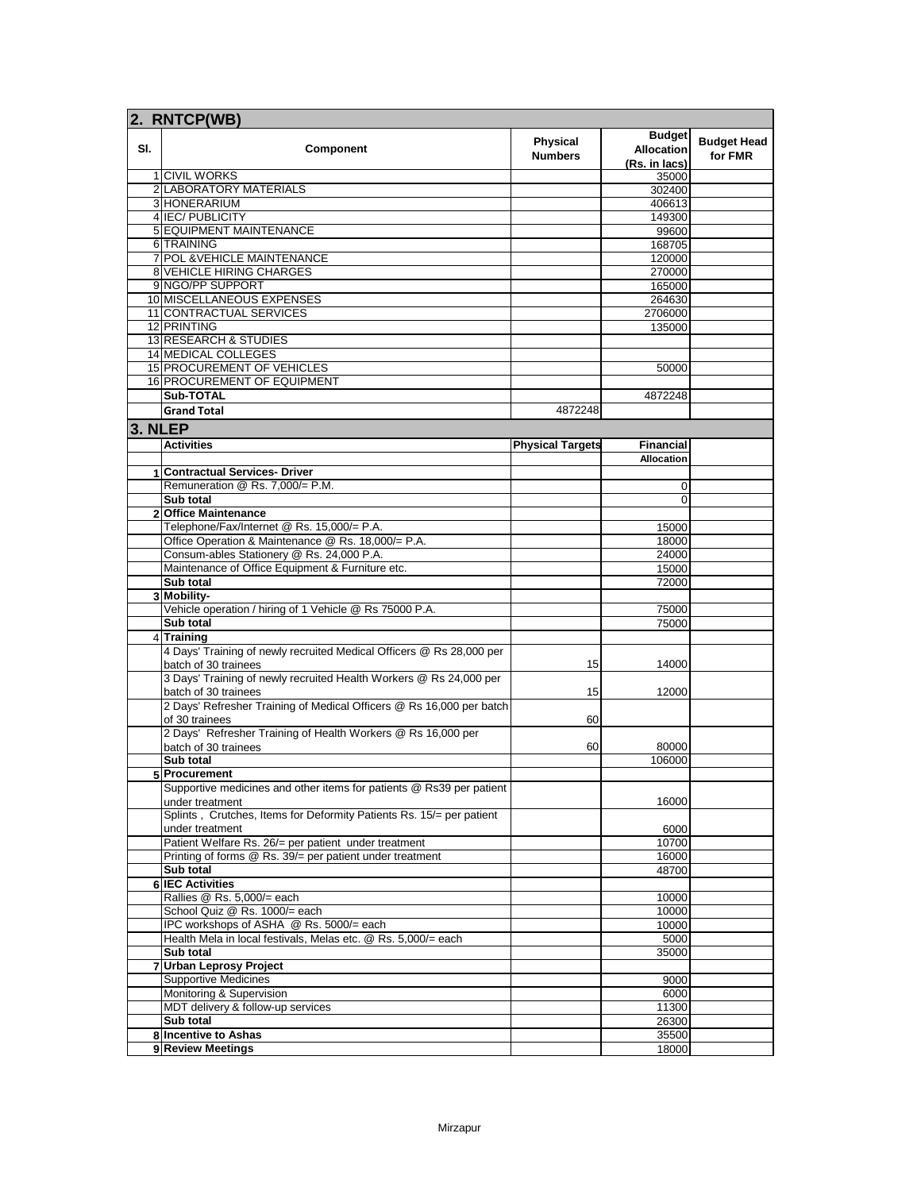|         | 2. RNTCP(WB)                                                                                    |                                   |                                                     |                               |
|---------|-------------------------------------------------------------------------------------------------|-----------------------------------|-----------------------------------------------------|-------------------------------|
| SI.     | Component                                                                                       | <b>Physical</b><br><b>Numbers</b> | <b>Budget</b><br><b>Allocation</b><br>(Rs. in lacs) | <b>Budget Head</b><br>for FMR |
|         | 1 CIVIL WORKS                                                                                   |                                   | 35000                                               |                               |
|         | 2 LABORATORY MATERIALS                                                                          |                                   | 302400                                              |                               |
|         | 3 HONERARIUM                                                                                    |                                   | 406613                                              |                               |
|         | 4 IEC/PUBLICITY                                                                                 |                                   | 149300                                              |                               |
|         | 5 EQUIPMENT MAINTENANCE                                                                         |                                   | 99600                                               |                               |
|         | 6 TRAINING                                                                                      |                                   | 168705                                              |                               |
|         | 7 POL & VEHICLE MAINTENANCE                                                                     |                                   | 120000                                              |                               |
|         | <b>8 VEHICLE HIRING CHARGES</b>                                                                 |                                   | 270000                                              |                               |
|         | 9 NGO/PP SUPPORT                                                                                |                                   | 165000                                              |                               |
|         | 10 MISCELLANEOUS EXPENSES                                                                       |                                   | 264630                                              |                               |
|         | 11 CONTRACTUAL SERVICES                                                                         |                                   | 2706000                                             |                               |
|         | 12 PRINTING                                                                                     |                                   | 135000                                              |                               |
|         | <b>13 RESEARCH &amp; STUDIES</b>                                                                |                                   |                                                     |                               |
|         | <b>14 MEDICAL COLLEGES</b>                                                                      |                                   |                                                     |                               |
|         | 15 PROCUREMENT OF VEHICLES<br><b>16 PROCUREMENT OF EQUIPMENT</b>                                |                                   | 50000                                               |                               |
|         | Sub-TOTAL                                                                                       |                                   |                                                     |                               |
|         |                                                                                                 |                                   | 4872248                                             |                               |
|         | <b>Grand Total</b>                                                                              | 4872248                           |                                                     |                               |
| 3. NLEP |                                                                                                 |                                   |                                                     |                               |
|         | <b>Activities</b>                                                                               | <b>Physical Targets</b>           | <b>Financial</b>                                    |                               |
|         |                                                                                                 |                                   | <b>Allocation</b>                                   |                               |
|         | 1 Contractual Services- Driver                                                                  |                                   |                                                     |                               |
|         | Remuneration @ Rs. 7,000/= P.M.                                                                 |                                   | 0                                                   |                               |
|         | Sub total                                                                                       |                                   | 0                                                   |                               |
|         | 2 Office Maintenance                                                                            |                                   |                                                     |                               |
|         | Telephone/Fax/Internet @ Rs. 15,000/= P.A.                                                      |                                   | 15000                                               |                               |
|         | Office Operation & Maintenance @ Rs. 18,000/= P.A.<br>Consum-ables Stationery @ Rs. 24,000 P.A. |                                   | 18000                                               |                               |
|         | Maintenance of Office Equipment & Furniture etc.                                                |                                   | 24000<br>15000                                      |                               |
|         | Sub total                                                                                       |                                   | 72000                                               |                               |
|         | 3 Mobility-                                                                                     |                                   |                                                     |                               |
|         | Vehicle operation / hiring of 1 Vehicle @ Rs 75000 P.A.                                         |                                   | 75000                                               |                               |
|         | Sub total                                                                                       |                                   | 75000                                               |                               |
|         | 4 Training                                                                                      |                                   |                                                     |                               |
|         | 4 Days' Training of newly recruited Medical Officers @ Rs 28,000 per<br>batch of 30 trainees    | 15                                | 14000                                               |                               |
|         | 3 Days' Training of newly recruited Health Workers @ Rs 24,000 per<br>batch of 30 trainees      | 15                                | 12000                                               |                               |
|         | 2 Days' Refresher Training of Medical Officers @ Rs 16,000 per batch<br>of 30 trainees          | 60                                |                                                     |                               |
|         | 2 Days' Refresher Training of Health Workers @ Rs 16,000 per                                    |                                   |                                                     |                               |
|         | batch of 30 trainees                                                                            | 60                                | 80000                                               |                               |
|         | Sub total                                                                                       |                                   | 106000                                              |                               |
|         | 5 Procurement                                                                                   |                                   |                                                     |                               |
|         | Supportive medicines and other items for patients @ Rs39 per patient<br>under treatment         |                                   | 16000                                               |                               |
|         | Splints, Crutches, Items for Deformity Patients Rs. 15/= per patient<br>under treatment         |                                   | 6000                                                |                               |
|         | Patient Welfare Rs. 26/= per patient under treatment                                            |                                   | 10700                                               |                               |
|         | Printing of forms @ Rs. 39/= per patient under treatment                                        |                                   | 16000                                               |                               |
|         | Sub total                                                                                       |                                   | 48700                                               |                               |
|         | <b>6 IEC Activities</b>                                                                         |                                   |                                                     |                               |
|         | Rallies @ Rs. 5,000/= each                                                                      |                                   | 10000                                               |                               |
|         | School Quiz @ Rs. 1000/= each                                                                   |                                   | 10000                                               |                               |
|         | IPC workshops of ASHA @ Rs. 5000/= each                                                         |                                   | 10000                                               |                               |
|         | Health Mela in local festivals, Melas etc. @ Rs. 5,000/= each                                   |                                   | 5000                                                |                               |
|         | Sub total                                                                                       |                                   | 35000                                               |                               |
| 7       | <b>Urban Leprosy Project</b>                                                                    |                                   |                                                     |                               |
|         | <b>Supportive Medicines</b>                                                                     |                                   | 9000                                                |                               |
|         | Monitoring & Supervision                                                                        |                                   | 6000                                                |                               |
|         | MDT delivery & follow-up services                                                               |                                   | 11300                                               |                               |
|         | Sub total                                                                                       |                                   | 26300                                               |                               |
|         | 8 Incentive to Ashas                                                                            |                                   | 35500                                               |                               |
|         | 9 Review Meetings                                                                               |                                   | 18000                                               |                               |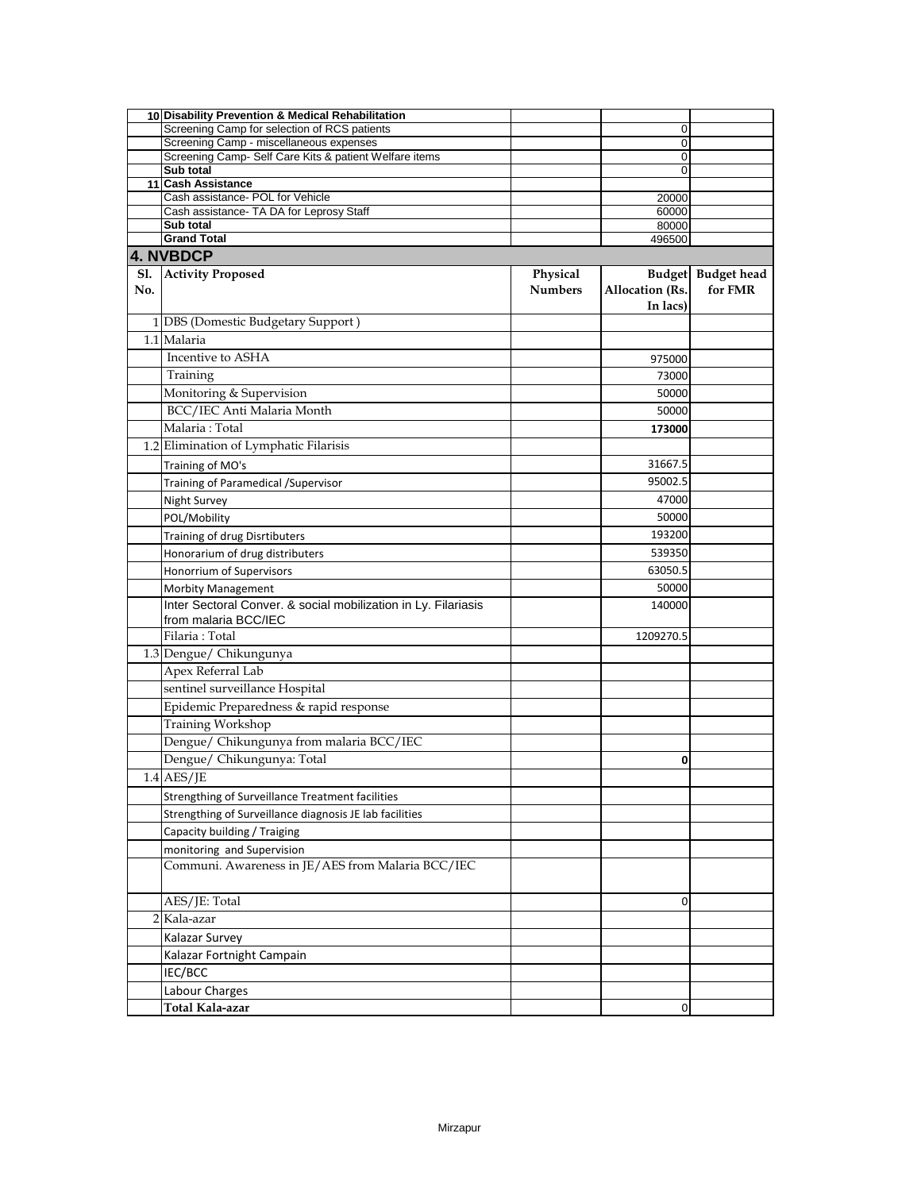|     | 10 Disability Prevention & Medical Rehabilitation                                           |                |                        |                    |
|-----|---------------------------------------------------------------------------------------------|----------------|------------------------|--------------------|
|     | Screening Camp for selection of RCS patients                                                |                | 0                      |                    |
|     | Screening Camp - miscellaneous expenses                                                     |                | 0                      |                    |
|     | Screening Camp- Self Care Kits & patient Welfare items                                      |                | 0                      |                    |
|     | Sub total<br>11 Cash Assistance                                                             |                | 0                      |                    |
|     | Cash assistance- POL for Vehicle                                                            |                | 20000                  |                    |
|     | Cash assistance- TA DA for Leprosy Staff                                                    |                | 60000                  |                    |
|     | Sub total                                                                                   |                | 80000                  |                    |
|     | <b>Grand Total</b>                                                                          |                | 496500                 |                    |
|     | 4. NVBDCP                                                                                   |                |                        |                    |
| S1. | <b>Activity Proposed</b>                                                                    | Physical       |                        | Budget Budget head |
| No. |                                                                                             | <b>Numbers</b> | <b>Allocation</b> (Rs. | for FMR            |
|     |                                                                                             |                | In lacs)               |                    |
|     | 1 DBS (Domestic Budgetary Support)                                                          |                |                        |                    |
|     |                                                                                             |                |                        |                    |
|     | 1.1 Malaria                                                                                 |                |                        |                    |
|     | Incentive to ASHA                                                                           |                | 975000                 |                    |
|     | Training                                                                                    |                | 73000                  |                    |
|     | Monitoring & Supervision                                                                    |                | 50000                  |                    |
|     | BCC/IEC Anti Malaria Month                                                                  |                | 50000                  |                    |
|     | Malaria: Total                                                                              |                | 173000                 |                    |
|     | 1.2 Elimination of Lymphatic Filarisis                                                      |                |                        |                    |
|     |                                                                                             |                |                        |                    |
|     | Training of MO's                                                                            |                | 31667.5                |                    |
|     | Training of Paramedical / Supervisor                                                        |                | 95002.5                |                    |
|     | Night Survey                                                                                |                | 47000                  |                    |
|     | POL/Mobility                                                                                |                | 50000                  |                    |
|     | Training of drug Disrtibuters                                                               |                | 193200                 |                    |
|     | Honorarium of drug distributers                                                             |                | 539350                 |                    |
|     | Honorrium of Supervisors                                                                    |                | 63050.5                |                    |
|     |                                                                                             |                | 50000                  |                    |
|     | <b>Morbity Management</b><br>Inter Sectoral Conver. & social mobilization in Ly. Filariasis |                |                        |                    |
|     | from malaria BCC/IEC                                                                        |                | 140000                 |                    |
|     | Filaria: Total                                                                              |                |                        |                    |
|     |                                                                                             |                | 1209270.5              |                    |
|     | 1.3 Dengue/ Chikungunya                                                                     |                |                        |                    |
|     | Apex Referral Lab                                                                           |                |                        |                    |
|     | sentinel surveillance Hospital                                                              |                |                        |                    |
|     | Epidemic Preparedness & rapid response                                                      |                |                        |                    |
|     | <b>Training Workshop</b>                                                                    |                |                        |                    |
|     | Dengue/ Chikungunya from malaria BCC/IEC                                                    |                |                        |                    |
|     | Dengue/ Chikungunya: Total                                                                  |                | 0                      |                    |
|     | $1.4$ AES/JE                                                                                |                |                        |                    |
|     |                                                                                             |                |                        |                    |
|     | Strengthing of Surveillance Treatment facilities                                            |                |                        |                    |
|     | Strengthing of Surveillance diagnosis JE lab facilities                                     |                |                        |                    |
|     | Capacity building / Traiging                                                                |                |                        |                    |
|     | monitoring and Supervision                                                                  |                |                        |                    |
|     | Communi. Awareness in JE/AES from Malaria BCC/IEC                                           |                |                        |                    |
|     |                                                                                             |                |                        |                    |
|     | AES/JE: Total                                                                               |                | 0                      |                    |
|     | 2 Kala-azar                                                                                 |                |                        |                    |
|     | Kalazar Survey                                                                              |                |                        |                    |
|     |                                                                                             |                |                        |                    |
|     | Kalazar Fortnight Campain                                                                   |                |                        |                    |
|     | IEC/BCC                                                                                     |                |                        |                    |
|     | Labour Charges                                                                              |                |                        |                    |
|     | Total Kala-azar                                                                             |                | 0                      |                    |